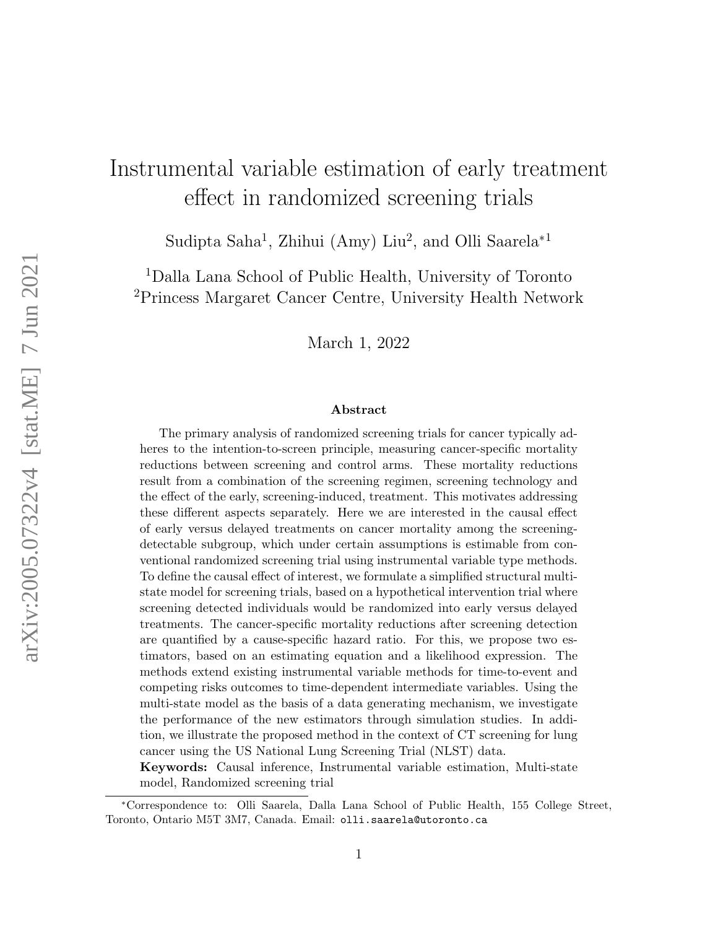# Instrumental variable estimation of early treatment effect in randomized screening trials

Sudipta Saha<sup>1</sup>, Zhihui (Amy) Liu<sup>2</sup>, and Olli Saarela<sup>\*1</sup>

<sup>1</sup>Dalla Lana School of Public Health, University of Toronto <sup>2</sup>Princess Margaret Cancer Centre, University Health Network

March 1, 2022

#### Abstract

The primary analysis of randomized screening trials for cancer typically adheres to the intention-to-screen principle, measuring cancer-specific mortality reductions between screening and control arms. These mortality reductions result from a combination of the screening regimen, screening technology and the effect of the early, screening-induced, treatment. This motivates addressing these different aspects separately. Here we are interested in the causal effect of early versus delayed treatments on cancer mortality among the screeningdetectable subgroup, which under certain assumptions is estimable from conventional randomized screening trial using instrumental variable type methods. To define the causal effect of interest, we formulate a simplified structural multistate model for screening trials, based on a hypothetical intervention trial where screening detected individuals would be randomized into early versus delayed treatments. The cancer-specific mortality reductions after screening detection are quantified by a cause-specific hazard ratio. For this, we propose two estimators, based on an estimating equation and a likelihood expression. The methods extend existing instrumental variable methods for time-to-event and competing risks outcomes to time-dependent intermediate variables. Using the multi-state model as the basis of a data generating mechanism, we investigate the performance of the new estimators through simulation studies. In addition, we illustrate the proposed method in the context of CT screening for lung cancer using the US National Lung Screening Trial (NLST) data.

Keywords: Causal inference, Instrumental variable estimation, Multi-state model, Randomized screening trial

<sup>∗</sup>Correspondence to: Olli Saarela, Dalla Lana School of Public Health, 155 College Street, Toronto, Ontario M5T 3M7, Canada. Email: olli.saarela@utoronto.ca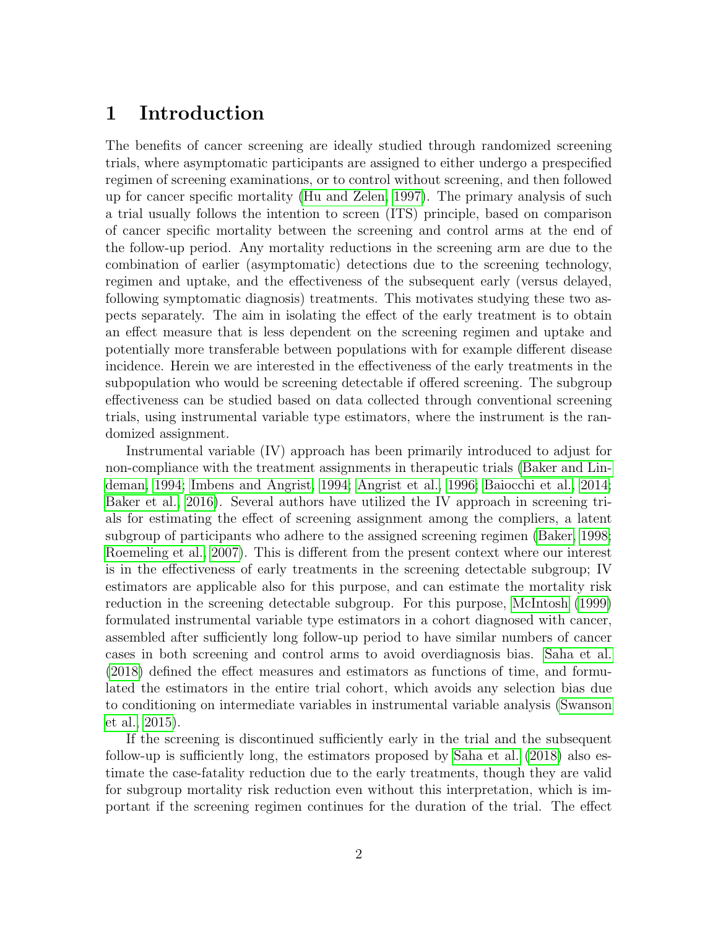## 1 Introduction

The benefits of cancer screening are ideally studied through randomized screening trials, where asymptomatic participants are assigned to either undergo a prespecified regimen of screening examinations, or to control without screening, and then followed up for cancer specific mortality [\(Hu and Zelen, 1997\)](#page-24-0). The primary analysis of such a trial usually follows the intention to screen (ITS) principle, based on comparison of cancer specific mortality between the screening and control arms at the end of the follow-up period. Any mortality reductions in the screening arm are due to the combination of earlier (asymptomatic) detections due to the screening technology, regimen and uptake, and the effectiveness of the subsequent early (versus delayed, following symptomatic diagnosis) treatments. This motivates studying these two aspects separately. The aim in isolating the effect of the early treatment is to obtain an effect measure that is less dependent on the screening regimen and uptake and potentially more transferable between populations with for example different disease incidence. Herein we are interested in the effectiveness of the early treatments in the subpopulation who would be screening detectable if offered screening. The subgroup effectiveness can be studied based on data collected through conventional screening trials, using instrumental variable type estimators, where the instrument is the randomized assignment.

Instrumental variable (IV) approach has been primarily introduced to adjust for non-compliance with the treatment assignments in therapeutic trials [\(Baker and Lin](#page-23-0)[deman, 1994;](#page-23-0) [Imbens and Angrist, 1994;](#page-24-1) [Angrist et al., 1996;](#page-23-1) [Baiocchi et al., 2014;](#page-23-2) [Baker et al., 2016\)](#page-23-3). Several authors have utilized the IV approach in screening trials for estimating the effect of screening assignment among the compliers, a latent subgroup of participants who adhere to the assigned screening regimen [\(Baker, 1998;](#page-23-4) [Roemeling et al., 2007\)](#page-25-0). This is different from the present context where our interest is in the effectiveness of early treatments in the screening detectable subgroup; IV estimators are applicable also for this purpose, and can estimate the mortality risk reduction in the screening detectable subgroup. For this purpose, [McIntosh](#page-24-2) [\(1999\)](#page-24-2) formulated instrumental variable type estimators in a cohort diagnosed with cancer, assembled after sufficiently long follow-up period to have similar numbers of cancer cases in both screening and control arms to avoid overdiagnosis bias. [Saha et al.](#page-25-1) [\(2018\)](#page-25-1) defined the effect measures and estimators as functions of time, and formulated the estimators in the entire trial cohort, which avoids any selection bias due to conditioning on intermediate variables in instrumental variable analysis [\(Swanson](#page-26-0) [et al., 2015\)](#page-26-0).

If the screening is discontinued sufficiently early in the trial and the subsequent follow-up is sufficiently long, the estimators proposed by [Saha et al.](#page-25-1) [\(2018\)](#page-25-1) also estimate the case-fatality reduction due to the early treatments, though they are valid for subgroup mortality risk reduction even without this interpretation, which is important if the screening regimen continues for the duration of the trial. The effect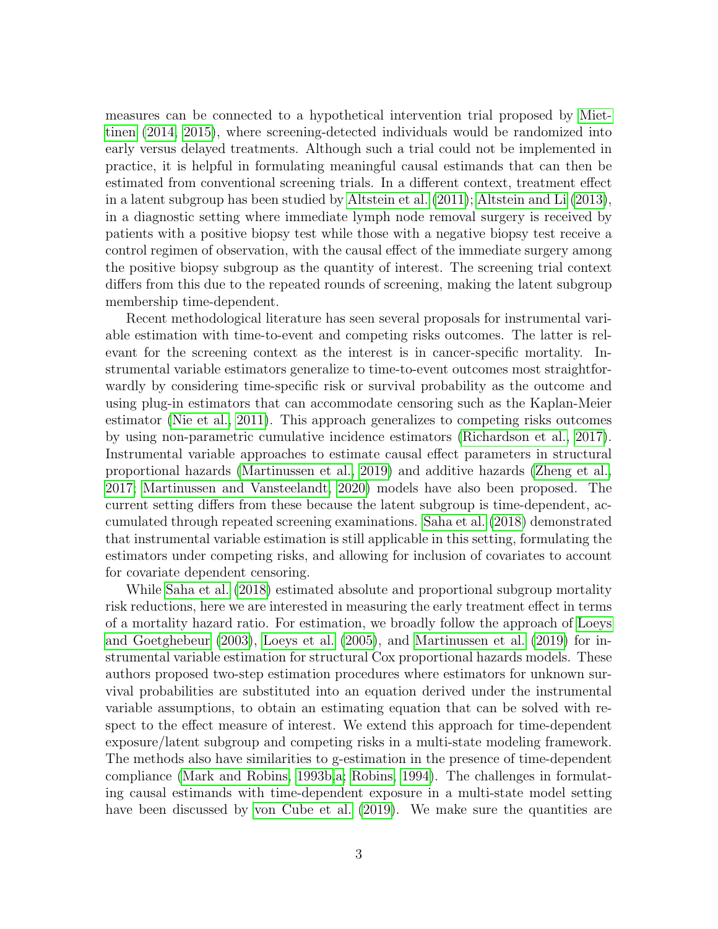measures can be connected to a hypothetical intervention trial proposed by [Miet](#page-24-3)[tinen](#page-24-3) [\(2014,](#page-24-3) [2015\)](#page-25-2), where screening-detected individuals would be randomized into early versus delayed treatments. Although such a trial could not be implemented in practice, it is helpful in formulating meaningful causal estimands that can then be estimated from conventional screening trials. In a different context, treatment effect in a latent subgroup has been studied by [Altstein et al.](#page-23-5) [\(2011\)](#page-23-5); [Altstein and Li](#page-22-0) [\(2013\)](#page-22-0), in a diagnostic setting where immediate lymph node removal surgery is received by patients with a positive biopsy test while those with a negative biopsy test receive a control regimen of observation, with the causal effect of the immediate surgery among the positive biopsy subgroup as the quantity of interest. The screening trial context differs from this due to the repeated rounds of screening, making the latent subgroup membership time-dependent.

Recent methodological literature has seen several proposals for instrumental variable estimation with time-to-event and competing risks outcomes. The latter is relevant for the screening context as the interest is in cancer-specific mortality. Instrumental variable estimators generalize to time-to-event outcomes most straightforwardly by considering time-specific risk or survival probability as the outcome and using plug-in estimators that can accommodate censoring such as the Kaplan-Meier estimator [\(Nie et al., 2011\)](#page-25-3). This approach generalizes to competing risks outcomes by using non-parametric cumulative incidence estimators [\(Richardson et al., 2017\)](#page-25-4). Instrumental variable approaches to estimate causal effect parameters in structural proportional hazards [\(Martinussen et al., 2019\)](#page-24-4) and additive hazards [\(Zheng et al.,](#page-26-1) [2017;](#page-26-1) [Martinussen and Vansteelandt, 2020\)](#page-24-5) models have also been proposed. The current setting differs from these because the latent subgroup is time-dependent, accumulated through repeated screening examinations. [Saha et al.](#page-25-1) [\(2018\)](#page-25-1) demonstrated that instrumental variable estimation is still applicable in this setting, formulating the estimators under competing risks, and allowing for inclusion of covariates to account for covariate dependent censoring.

While [Saha et al.](#page-25-1) [\(2018\)](#page-25-1) estimated absolute and proportional subgroup mortality risk reductions, here we are interested in measuring the early treatment effect in terms of a mortality hazard ratio. For estimation, we broadly follow the approach of [Loeys](#page-24-6) [and Goetghebeur](#page-24-6) [\(2003\)](#page-24-6), [Loeys et al.](#page-24-7) [\(2005\)](#page-24-7), and [Martinussen et al.](#page-24-4) [\(2019\)](#page-24-4) for instrumental variable estimation for structural Cox proportional hazards models. These authors proposed two-step estimation procedures where estimators for unknown survival probabilities are substituted into an equation derived under the instrumental variable assumptions, to obtain an estimating equation that can be solved with respect to the effect measure of interest. We extend this approach for time-dependent exposure/latent subgroup and competing risks in a multi-state modeling framework. The methods also have similarities to g-estimation in the presence of time-dependent compliance [\(Mark and Robins, 1993b](#page-24-8)[,a;](#page-24-9) [Robins, 1994\)](#page-25-5). The challenges in formulating causal estimands with time-dependent exposure in a multi-state model setting have been discussed by [von Cube et al.](#page-23-6) [\(2019\)](#page-23-6). We make sure the quantities are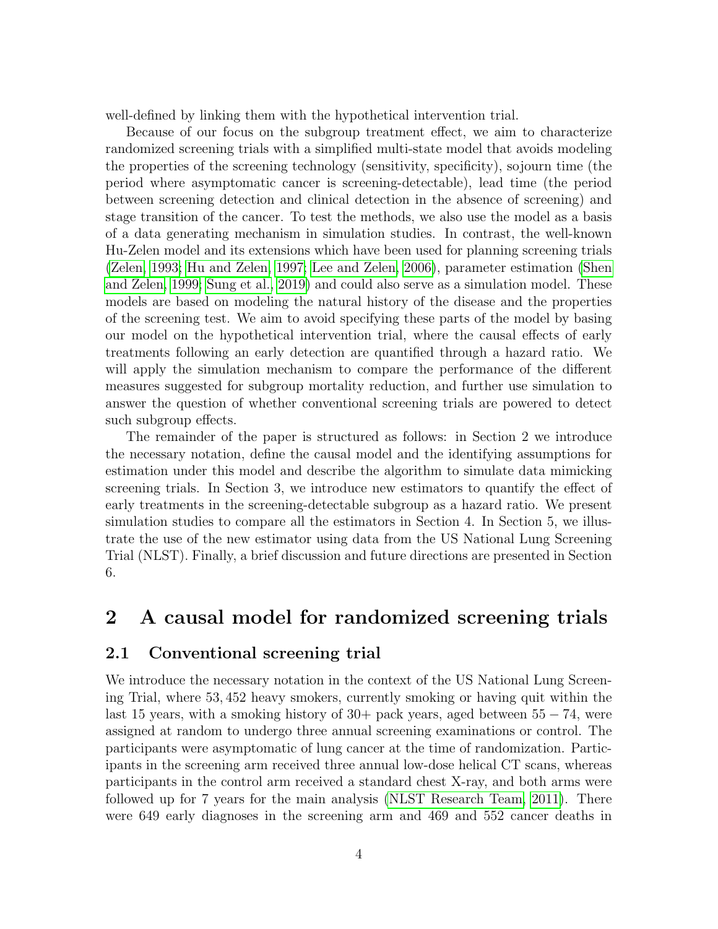well-defined by linking them with the hypothetical intervention trial.

Because of our focus on the subgroup treatment effect, we aim to characterize randomized screening trials with a simplified multi-state model that avoids modeling the properties of the screening technology (sensitivity, specificity), sojourn time (the period where asymptomatic cancer is screening-detectable), lead time (the period between screening detection and clinical detection in the absence of screening) and stage transition of the cancer. To test the methods, we also use the model as a basis of a data generating mechanism in simulation studies. In contrast, the well-known Hu-Zelen model and its extensions which have been used for planning screening trials [\(Zelen, 1993;](#page-26-2) [Hu and Zelen, 1997;](#page-24-0) [Lee and Zelen, 2006\)](#page-24-10), parameter estimation [\(Shen](#page-25-6) [and Zelen, 1999;](#page-25-6) [Sung et al., 2019\)](#page-25-7) and could also serve as a simulation model. These models are based on modeling the natural history of the disease and the properties of the screening test. We aim to avoid specifying these parts of the model by basing our model on the hypothetical intervention trial, where the causal effects of early treatments following an early detection are quantified through a hazard ratio. We will apply the simulation mechanism to compare the performance of the different measures suggested for subgroup mortality reduction, and further use simulation to answer the question of whether conventional screening trials are powered to detect such subgroup effects.

The remainder of the paper is structured as follows: in Section 2 we introduce the necessary notation, define the causal model and the identifying assumptions for estimation under this model and describe the algorithm to simulate data mimicking screening trials. In Section 3, we introduce new estimators to quantify the effect of early treatments in the screening-detectable subgroup as a hazard ratio. We present simulation studies to compare all the estimators in Section 4. In Section 5, we illustrate the use of the new estimator using data from the US National Lung Screening Trial (NLST). Finally, a brief discussion and future directions are presented in Section 6.

### 2 A causal model for randomized screening trials

#### <span id="page-3-0"></span>2.1 Conventional screening trial

We introduce the necessary notation in the context of the US National Lung Screening Trial, where 53, 452 heavy smokers, currently smoking or having quit within the last 15 years, with a smoking history of  $30+$  pack years, aged between  $55-74$ , were assigned at random to undergo three annual screening examinations or control. The participants were asymptomatic of lung cancer at the time of randomization. Participants in the screening arm received three annual low-dose helical CT scans, whereas participants in the control arm received a standard chest X-ray, and both arms were followed up for 7 years for the main analysis [\(NLST Research Team, 2011\)](#page-25-8). There were 649 early diagnoses in the screening arm and 469 and 552 cancer deaths in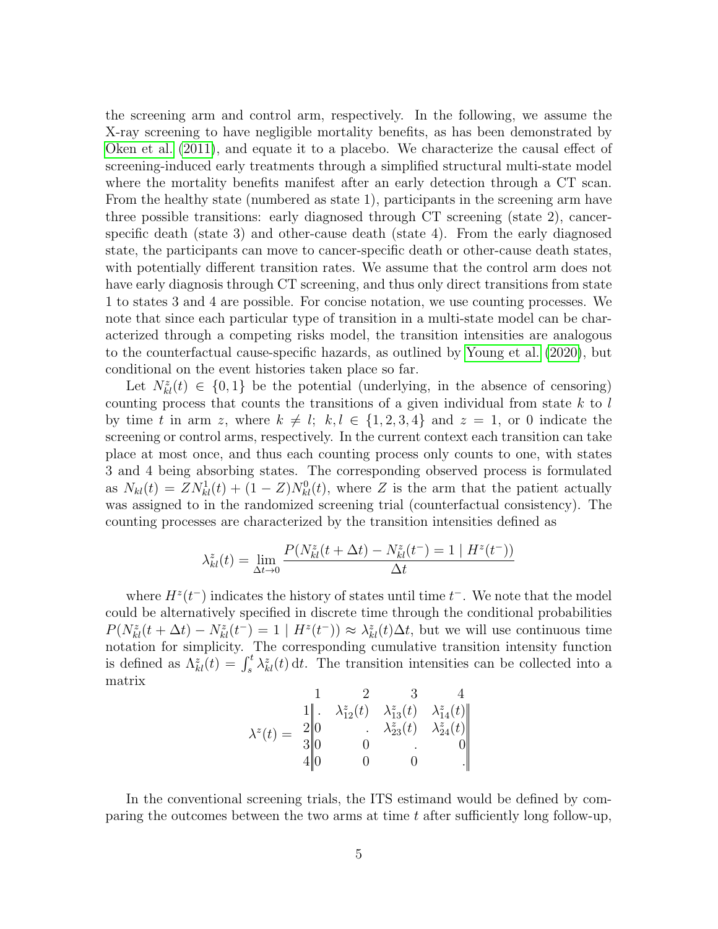the screening arm and control arm, respectively. In the following, we assume the X-ray screening to have negligible mortality benefits, as has been demonstrated by [Oken et al.](#page-25-9) [\(2011\)](#page-25-9), and equate it to a placebo. We characterize the causal effect of screening-induced early treatments through a simplified structural multi-state model where the mortality benefits manifest after an early detection through a CT scan. From the healthy state (numbered as state 1), participants in the screening arm have three possible transitions: early diagnosed through CT screening (state 2), cancerspecific death (state 3) and other-cause death (state 4). From the early diagnosed state, the participants can move to cancer-specific death or other-cause death states, with potentially different transition rates. We assume that the control arm does not have early diagnosis through CT screening, and thus only direct transitions from state 1 to states 3 and 4 are possible. For concise notation, we use counting processes. We note that since each particular type of transition in a multi-state model can be characterized through a competing risks model, the transition intensities are analogous to the counterfactual cause-specific hazards, as outlined by [Young et al.](#page-26-3) [\(2020\)](#page-26-3), but conditional on the event histories taken place so far.

Let  $N_{kl}^z(t) \in \{0,1\}$  be the potential (underlying, in the absence of censoring) counting process that counts the transitions of a given individual from state  $k$  to  $l$ by time t in arm z, where  $k \neq l$ ;  $k, l \in \{1, 2, 3, 4\}$  and  $z = 1$ , or 0 indicate the screening or control arms, respectively. In the current context each transition can take place at most once, and thus each counting process only counts to one, with states 3 and 4 being absorbing states. The corresponding observed process is formulated as  $N_{kl}(t) = ZN_{kl}^1(t) + (1 - Z)N_{kl}^0(t)$ , where Z is the arm that the patient actually was assigned to in the randomized screening trial (counterfactual consistency). The counting processes are characterized by the transition intensities defined as

$$
\lambda_{kl}^z(t) = \lim_{\Delta t \to 0} \frac{P(N_{kl}^z(t + \Delta t) - N_{kl}^z(t^-) = 1 | H^z(t^-))}{\Delta t}
$$

where  $H^z(t^-)$  indicates the history of states until time  $t^-$ . We note that the model could be alternatively specified in discrete time through the conditional probabilities  $P(N_{kl}^z(t + \Delta t) - N_{kl}^z(t^-)) = 1 | H^z(t^-)) \approx \lambda_{kl}^z(t) \Delta t$ , but we will use continuous time notation for simplicity. The corresponding cumulative transition intensity function is defined as  $\Lambda_{kl}^z(t) = \int_s^t \lambda_{kl}^z(t) dt$ . The transition intensities can be collected into a matrix

$$
\lambda^{z}(t) = \begin{array}{ccc} & 1 & 2 & 3 & 4 \\ 1 & \lambda_{12}^{z}(t) & \lambda_{13}^{z}(t) & \lambda_{14}^{z}(t) \\ 2 & 0 & \lambda_{23}^{z}(t) & \lambda_{24}^{z}(t) \\ 3 & 0 & 0 & 0 \\ 4 & 0 & 0 & 0 \end{array}
$$

In the conventional screening trials, the ITS estimand would be defined by comparing the outcomes between the two arms at time  $t$  after sufficiently long follow-up,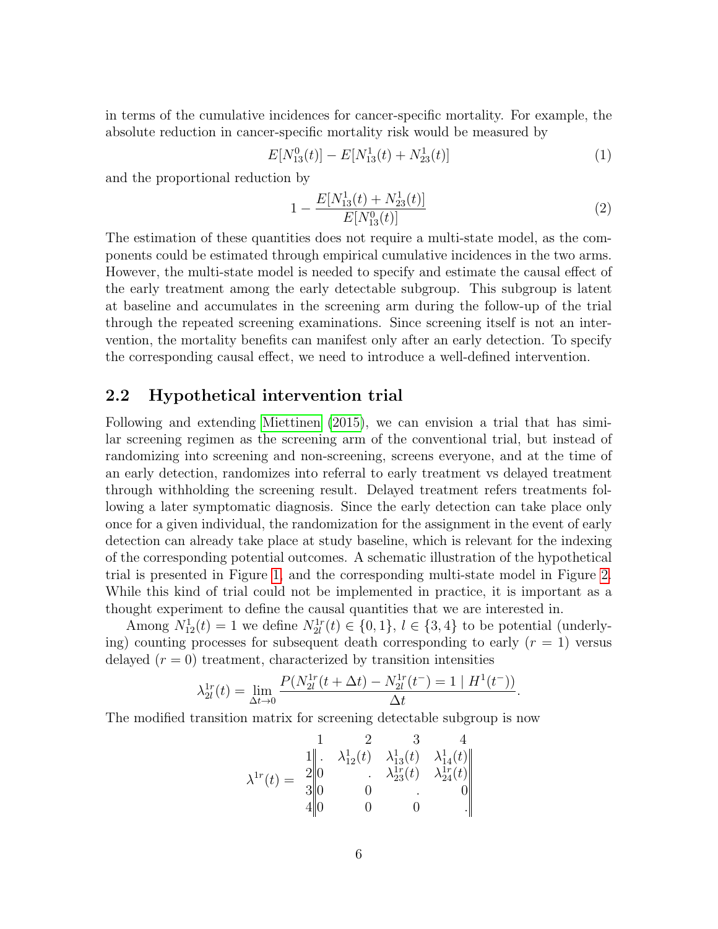in terms of the cumulative incidences for cancer-specific mortality. For example, the absolute reduction in cancer-specific mortality risk would be measured by

<span id="page-5-0"></span>
$$
E[N_{13}^0(t)] - E[N_{13}^1(t) + N_{23}^1(t)] \tag{1}
$$

and the proportional reduction by

<span id="page-5-1"></span>
$$
1 - \frac{E[N_{13}^1(t) + N_{23}^1(t)]}{E[N_{13}^0(t)]}
$$
\n(2)

The estimation of these quantities does not require a multi-state model, as the components could be estimated through empirical cumulative incidences in the two arms. However, the multi-state model is needed to specify and estimate the causal effect of the early treatment among the early detectable subgroup. This subgroup is latent at baseline and accumulates in the screening arm during the follow-up of the trial through the repeated screening examinations. Since screening itself is not an intervention, the mortality benefits can manifest only after an early detection. To specify the corresponding causal effect, we need to introduce a well-defined intervention.

#### 2.2 Hypothetical intervention trial

Following and extending [Miettinen](#page-25-2) [\(2015\)](#page-25-2), we can envision a trial that has similar screening regimen as the screening arm of the conventional trial, but instead of randomizing into screening and non-screening, screens everyone, and at the time of an early detection, randomizes into referral to early treatment vs delayed treatment through withholding the screening result. Delayed treatment refers treatments following a later symptomatic diagnosis. Since the early detection can take place only once for a given individual, the randomization for the assignment in the event of early detection can already take place at study baseline, which is relevant for the indexing of the corresponding potential outcomes. A schematic illustration of the hypothetical trial is presented in Figure [1,](#page-7-0) and the corresponding multi-state model in Figure [2.](#page-8-0) While this kind of trial could not be implemented in practice, it is important as a thought experiment to define the causal quantities that we are interested in.

Among  $N_{12}^1(t) = 1$  we define  $N_{2l}^{1r}(t) \in \{0, 1\}, l \in \{3, 4\}$  to be potential (underlying) counting processes for subsequent death corresponding to early  $(r = 1)$  versus delayed  $(r = 0)$  treatment, characterized by transition intensities

$$
\lambda_{2l}^{1r}(t) = \lim_{\Delta t \to 0} \frac{P(N_{2l}^{1r}(t + \Delta t) - N_{2l}^{1r}(t^{-})) = 1 | H^{1}(t^{-}))}{\Delta t}.
$$

The modified transition matrix for screening detectable subgroup is now

$$
\lambda^{1r}(t) = \begin{array}{ccc} & 1 & 2 & 3 & 4 \\ 1 & \lambda_{12}^1(t) & \lambda_{13}^1(t) & \lambda_{14}^1(t) \\ 2 & 0 & \lambda_{23}^1(t) & \lambda_{24}^1(t) \\ 3 & 0 & 0 & 0 \\ 4 & 0 & 0 & 0 \end{array}
$$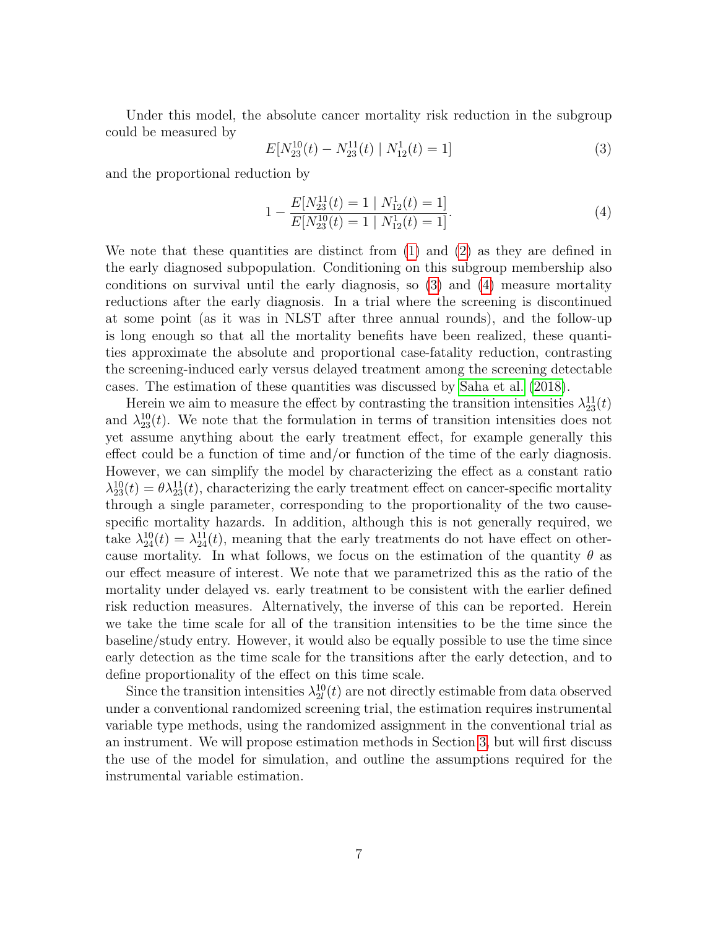Under this model, the absolute cancer mortality risk reduction in the subgroup could be measured by

<span id="page-6-0"></span>
$$
E[N_{23}^{10}(t) - N_{23}^{11}(t) | N_{12}^1(t) = 1]
$$
\n(3)

and the proportional reduction by

<span id="page-6-1"></span>
$$
1 - \frac{E[N_{23}^{11}(t) = 1 \mid N_{12}^1(t) = 1]}{E[N_{23}^{10}(t) = 1 \mid N_{12}^1(t) = 1]}.
$$
\n(4)

We note that these quantities are distinct from [\(1\)](#page-5-0) and [\(2\)](#page-5-1) as they are defined in the early diagnosed subpopulation. Conditioning on this subgroup membership also conditions on survival until the early diagnosis, so [\(3\)](#page-6-0) and [\(4\)](#page-6-1) measure mortality reductions after the early diagnosis. In a trial where the screening is discontinued at some point (as it was in NLST after three annual rounds), and the follow-up is long enough so that all the mortality benefits have been realized, these quantities approximate the absolute and proportional case-fatality reduction, contrasting the screening-induced early versus delayed treatment among the screening detectable cases. The estimation of these quantities was discussed by [Saha et al.](#page-25-1) [\(2018\)](#page-25-1).

Herein we aim to measure the effect by contrasting the transition intensities  $\lambda_{23}^{11}(t)$ and  $\lambda_{23}^{10}(t)$ . We note that the formulation in terms of transition intensities does not yet assume anything about the early treatment effect, for example generally this effect could be a function of time and/or function of the time of the early diagnosis. However, we can simplify the model by characterizing the effect as a constant ratio  $\lambda_{23}^{10}(t) = \theta \lambda_{23}^{11}(t)$ , characterizing the early treatment effect on cancer-specific mortality through a single parameter, corresponding to the proportionality of the two causespecific mortality hazards. In addition, although this is not generally required, we take  $\lambda_{24}^{10}(t) = \lambda_{24}^{11}(t)$ , meaning that the early treatments do not have effect on othercause mortality. In what follows, we focus on the estimation of the quantity  $\theta$  as our effect measure of interest. We note that we parametrized this as the ratio of the mortality under delayed vs. early treatment to be consistent with the earlier defined risk reduction measures. Alternatively, the inverse of this can be reported. Herein we take the time scale for all of the transition intensities to be the time since the baseline/study entry. However, it would also be equally possible to use the time since early detection as the time scale for the transitions after the early detection, and to define proportionality of the effect on this time scale.

Since the transition intensities  $\lambda_{2l}^{10}(t)$  are not directly estimable from data observed under a conventional randomized screening trial, the estimation requires instrumental variable type methods, using the randomized assignment in the conventional trial as an instrument. We will propose estimation methods in Section [3,](#page-10-0) but will first discuss the use of the model for simulation, and outline the assumptions required for the instrumental variable estimation.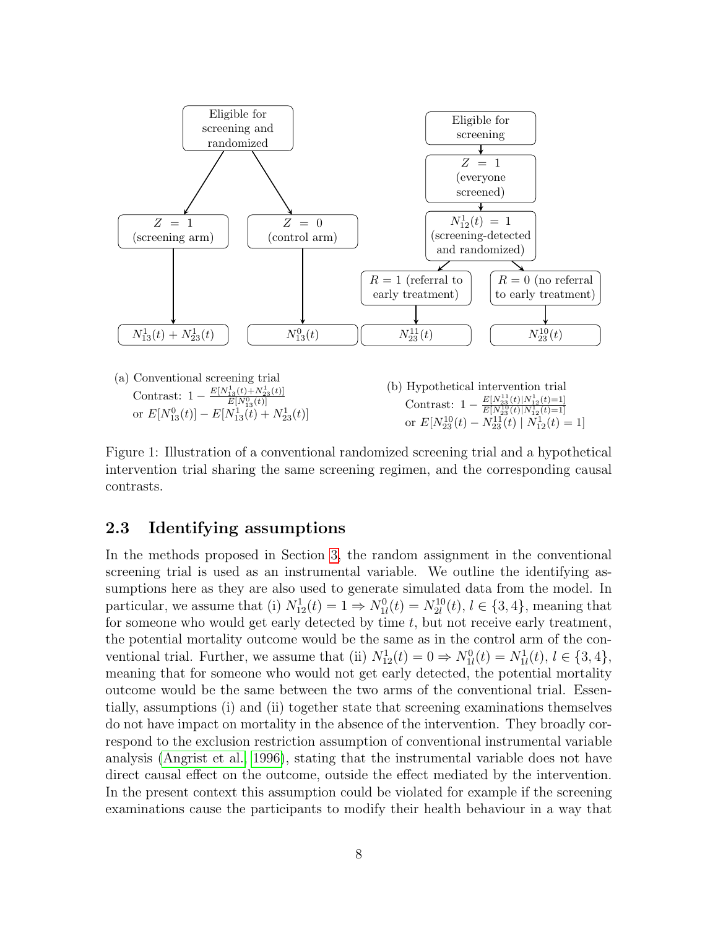<span id="page-7-0"></span>

Figure 1: Illustration of a conventional randomized screening trial and a hypothetical intervention trial sharing the same screening regimen, and the corresponding causal contrasts.

### <span id="page-7-1"></span>2.3 Identifying assumptions

In the methods proposed in Section [3,](#page-10-0) the random assignment in the conventional screening trial is used as an instrumental variable. We outline the identifying assumptions here as they are also used to generate simulated data from the model. In particular, we assume that (i)  $N_{12}^1(t) = 1 \Rightarrow N_{1l}^0(t) = N_{2l}^{10}(t), l \in \{3, 4\}$ , meaning that for someone who would get early detected by time  $t$ , but not receive early treatment, the potential mortality outcome would be the same as in the control arm of the conventional trial. Further, we assume that (ii)  $N_{12}^1(t) = 0 \Rightarrow N_{1l}^0(t) = N_{1l}^1(t), l \in \{3, 4\},\$ meaning that for someone who would not get early detected, the potential mortality outcome would be the same between the two arms of the conventional trial. Essentially, assumptions (i) and (ii) together state that screening examinations themselves do not have impact on mortality in the absence of the intervention. They broadly correspond to the exclusion restriction assumption of conventional instrumental variable analysis [\(Angrist et al., 1996\)](#page-23-1), stating that the instrumental variable does not have direct causal effect on the outcome, outside the effect mediated by the intervention. In the present context this assumption could be violated for example if the screening examinations cause the participants to modify their health behaviour in a way that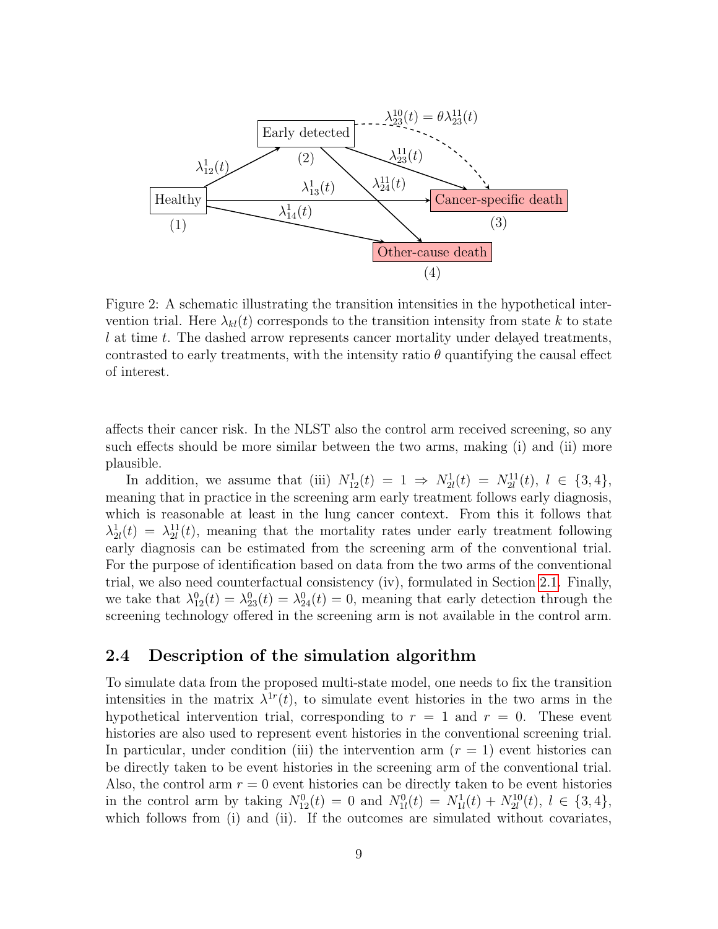<span id="page-8-0"></span>

Figure 2: A schematic illustrating the transition intensities in the hypothetical intervention trial. Here  $\lambda_{kl}(t)$  corresponds to the transition intensity from state k to state l at time t. The dashed arrow represents cancer mortality under delayed treatments, contrasted to early treatments, with the intensity ratio  $\theta$  quantifying the causal effect of interest.

affects their cancer risk. In the NLST also the control arm received screening, so any such effects should be more similar between the two arms, making (i) and (ii) more plausible.

In addition, we assume that (iii)  $N_{12}^1(t) = 1 \Rightarrow N_{2l}^1(t) = N_{2l}^{11}(t), l \in \{3, 4\},\$ meaning that in practice in the screening arm early treatment follows early diagnosis, which is reasonable at least in the lung cancer context. From this it follows that  $\lambda_{2l}^{1}(t) = \lambda_{2l}^{11}(t)$ , meaning that the mortality rates under early treatment following early diagnosis can be estimated from the screening arm of the conventional trial. For the purpose of identification based on data from the two arms of the conventional trial, we also need counterfactual consistency (iv), formulated in Section [2.1.](#page-3-0) Finally, we take that  $\lambda_{12}^0(t) = \lambda_{23}^0(t) = \lambda_{24}^0(t) = 0$ , meaning that early detection through the screening technology offered in the screening arm is not available in the control arm.

#### <span id="page-8-1"></span>2.4 Description of the simulation algorithm

To simulate data from the proposed multi-state model, one needs to fix the transition intensities in the matrix  $\lambda^{1r}(t)$ , to simulate event histories in the two arms in the hypothetical intervention trial, corresponding to  $r = 1$  and  $r = 0$ . These event histories are also used to represent event histories in the conventional screening trial. In particular, under condition (iii) the intervention arm  $(r = 1)$  event histories can be directly taken to be event histories in the screening arm of the conventional trial. Also, the control arm  $r = 0$  event histories can be directly taken to be event histories in the control arm by taking  $N_{12}^0(t) = 0$  and  $N_{1l}^0(t) = N_{1l}^1(t) + N_{2l}^{10}(t), l \in \{3, 4\},$ which follows from (i) and (ii). If the outcomes are simulated without covariates,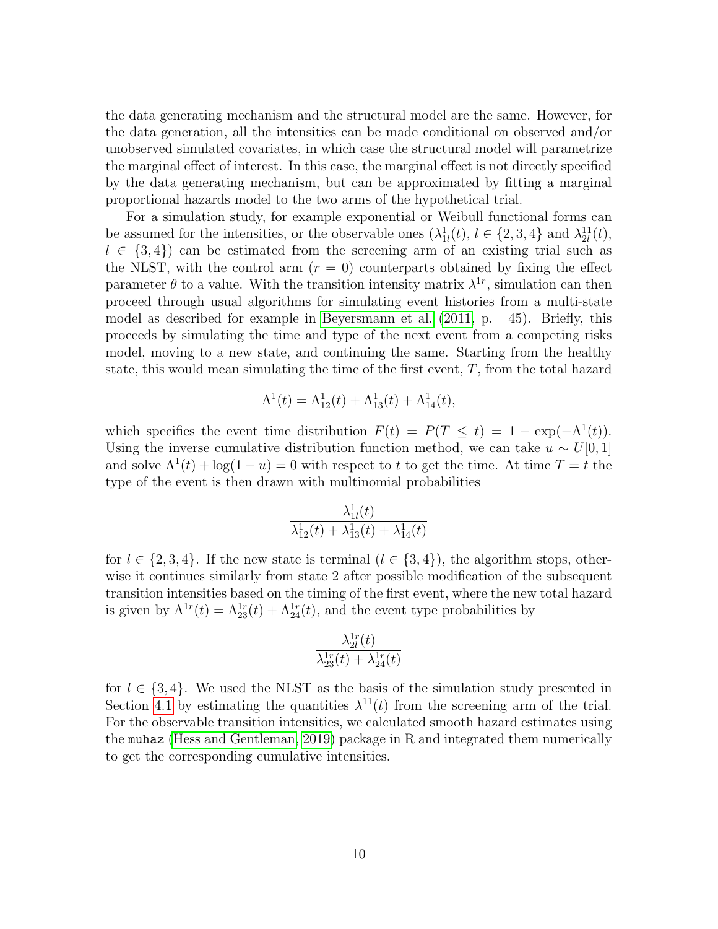the data generating mechanism and the structural model are the same. However, for the data generation, all the intensities can be made conditional on observed and/or unobserved simulated covariates, in which case the structural model will parametrize the marginal effect of interest. In this case, the marginal effect is not directly specified by the data generating mechanism, but can be approximated by fitting a marginal proportional hazards model to the two arms of the hypothetical trial.

For a simulation study, for example exponential or Weibull functional forms can be assumed for the intensities, or the observable ones  $(\lambda_{1l}^1(t), l \in \{2, 3, 4\}$  and  $\lambda_{2l}^{11}(t)$ ,  $l \in \{3, 4\}$  can be estimated from the screening arm of an existing trial such as the NLST, with the control arm  $(r = 0)$  counterparts obtained by fixing the effect parameter  $\theta$  to a value. With the transition intensity matrix  $\lambda^{1r}$ , simulation can then proceed through usual algorithms for simulating event histories from a multi-state model as described for example in [Beyersmann et al.](#page-23-7) [\(2011,](#page-23-7) p. 45). Briefly, this proceeds by simulating the time and type of the next event from a competing risks model, moving to a new state, and continuing the same. Starting from the healthy state, this would mean simulating the time of the first event,  $T$ , from the total hazard

$$
\Lambda^{1}(t) = \Lambda^{1}_{12}(t) + \Lambda^{1}_{13}(t) + \Lambda^{1}_{14}(t),
$$

which specifies the event time distribution  $F(t) = P(T \leq t) = 1 - \exp(-\Lambda^{1}(t)).$ Using the inverse cumulative distribution function method, we can take  $u \sim U[0, 1]$ and solve  $\Lambda^1(t) + \log(1-u) = 0$  with respect to t to get the time. At time  $T = t$  the type of the event is then drawn with multinomial probabilities

$$
\frac{\lambda_{1l}^1(t)}{\lambda_{12}^1(t) + \lambda_{13}^1(t) + \lambda_{14}^1(t)}
$$

for  $l \in \{2, 3, 4\}$ . If the new state is terminal  $(l \in \{3, 4\})$ , the algorithm stops, otherwise it continues similarly from state 2 after possible modification of the subsequent transition intensities based on the timing of the first event, where the new total hazard is given by  $\Lambda^{1r}(t) = \Lambda_{23}^{1r}(t) + \Lambda_{24}^{1r}(t)$ , and the event type probabilities by

$$
\frac{\lambda_{2l}^{1r}(t)}{\lambda_{23}^{1r}(t)+\lambda_{24}^{1r}(t)}
$$

for  $l \in \{3, 4\}$ . We used the NLST as the basis of the simulation study presented in Section [4.1](#page-13-0) by estimating the quantities  $\lambda^{11}(t)$  from the screening arm of the trial. For the observable transition intensities, we calculated smooth hazard estimates using the muhaz [\(Hess and Gentleman, 2019\)](#page-24-11) package in R and integrated them numerically to get the corresponding cumulative intensities.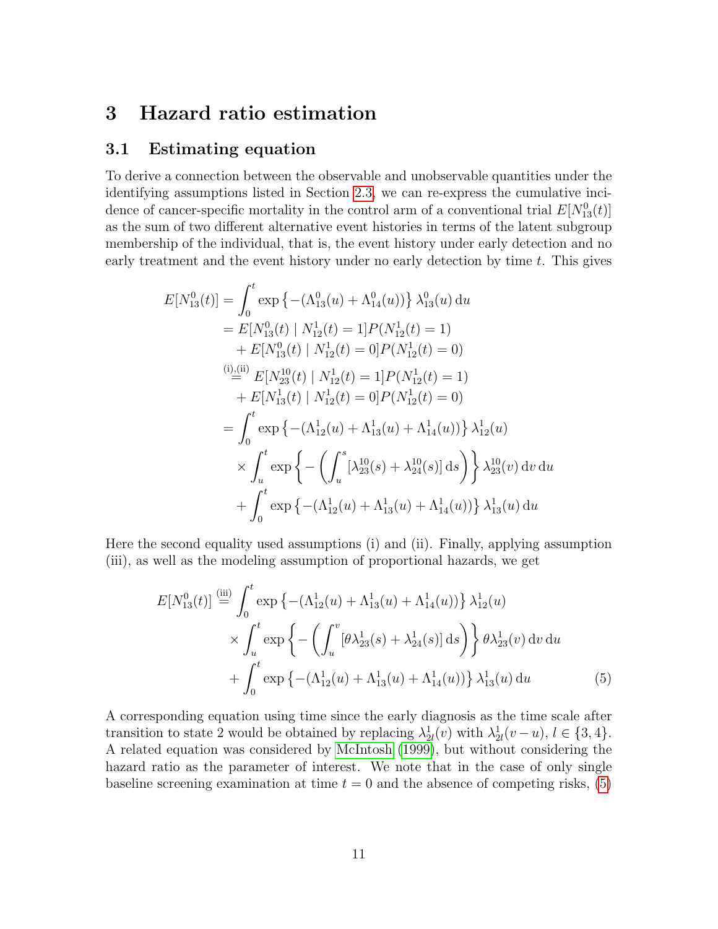### <span id="page-10-0"></span>3 Hazard ratio estimation

#### <span id="page-10-2"></span>3.1 Estimating equation

To derive a connection between the observable and unobservable quantities under the identifying assumptions listed in Section [2.3,](#page-7-1) we can re-express the cumulative incidence of cancer-specific mortality in the control arm of a conventional trial  $E[N_{13}^0(t)]$ as the sum of two different alternative event histories in terms of the latent subgroup membership of the individual, that is, the event history under early detection and no early treatment and the event history under no early detection by time t. This gives

$$
E[N_{13}^{0}(t)] = \int_{0}^{t} \exp \left\{ -(\Lambda_{13}^{0}(u) + \Lambda_{14}^{0}(u)) \right\} \lambda_{13}^{0}(u) du
$$
  
\n
$$
= E[N_{13}^{0}(t) | N_{12}^{1}(t) = 1] P(N_{12}^{1}(t) = 1)
$$
  
\n
$$
+ E[N_{13}^{0}(t) | N_{12}^{1}(t) = 0] P(N_{12}^{1}(t) = 0)
$$
  
\n(i) (ii) (iii) 
$$
E[N_{23}^{10}(t) | N_{12}^{1}(t) = 1] P(N_{12}^{1}(t) = 1)
$$
  
\n
$$
+ E[N_{13}^{1}(t) | N_{12}^{1}(t) = 0] P(N_{12}^{1}(t) = 0)
$$
  
\n
$$
= \int_{0}^{t} \exp \left\{ -(\Lambda_{12}^{1}(u) + \Lambda_{13}^{1}(u) + \Lambda_{14}^{1}(u)) \right\} \lambda_{12}^{1}(u)
$$
  
\n
$$
\times \int_{u}^{t} \exp \left\{ -(\int_{u}^{s} [\lambda_{23}^{10}(s) + \lambda_{24}^{10}(s)] ds) \right\} \lambda_{23}^{10}(v) dv du
$$
  
\n
$$
+ \int_{0}^{t} \exp \left\{ -(\Lambda_{12}^{1}(u) + \Lambda_{13}^{1}(u) + \Lambda_{14}^{1}(u)) \right\} \lambda_{13}^{1}(u) du
$$

Here the second equality used assumptions (i) and (ii). Finally, applying assumption (iii), as well as the modeling assumption of proportional hazards, we get

<span id="page-10-1"></span>
$$
E[N_{13}^{0}(t)] \stackrel{\text{(iii)}}{=} \int_{0}^{t} \exp\left\{-\left(\Lambda_{12}^{1}(u) + \Lambda_{13}^{1}(u) + \Lambda_{14}^{1}(u)\right)\right\} \lambda_{12}^{1}(u) \times \int_{u}^{t} \exp\left\{-\left(\int_{u}^{v} [\theta \lambda_{23}^{1}(s) + \lambda_{24}^{1}(s)] ds\right)\right\} \theta \lambda_{23}^{1}(v) dv du + \int_{0}^{t} \exp\left\{-\left(\Lambda_{12}^{1}(u) + \Lambda_{13}^{1}(u) + \Lambda_{14}^{1}(u)\right)\right\} \lambda_{13}^{1}(u) du
$$
(5)

A corresponding equation using time since the early diagnosis as the time scale after transition to state 2 would be obtained by replacing  $\lambda_{2l}^1(v)$  with  $\lambda_{2l}^1(v-u)$ ,  $l \in \{3, 4\}$ . A related equation was considered by [McIntosh](#page-24-2) [\(1999\)](#page-24-2), but without considering the hazard ratio as the parameter of interest. We note that in the case of only single baseline screening examination at time  $t = 0$  and the absence of competing risks, [\(5\)](#page-10-1)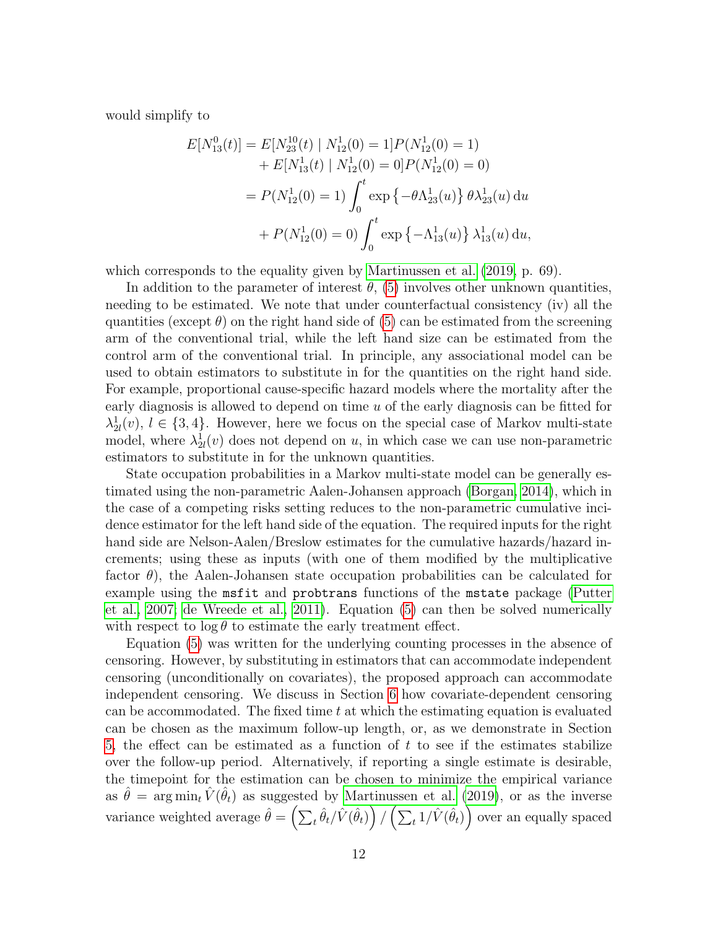would simplify to

$$
E[N_{13}^{0}(t)] = E[N_{23}^{10}(t) | N_{12}^{1}(0) = 1]P(N_{12}^{1}(0) = 1)
$$
  
+ 
$$
E[N_{13}^{1}(t) | N_{12}^{1}(0) = 0]P(N_{12}^{1}(0) = 0)
$$
  
= 
$$
P(N_{12}^{1}(0) = 1) \int_{0}^{t} \exp \{-\theta \Lambda_{23}^{1}(u)\} \theta \lambda_{23}^{1}(u) du
$$
  
+ 
$$
P(N_{12}^{1}(0) = 0) \int_{0}^{t} \exp \{-\Lambda_{13}^{1}(u)\} \lambda_{13}^{1}(u) du,
$$

which corresponds to the equality given by [Martinussen et al.](#page-24-4) [\(2019,](#page-24-4) p. 69).

In addition to the parameter of interest  $\theta$ , [\(5\)](#page-10-1) involves other unknown quantities, needing to be estimated. We note that under counterfactual consistency (iv) all the quantities (except  $\theta$ ) on the right hand side of [\(5\)](#page-10-1) can be estimated from the screening arm of the conventional trial, while the left hand size can be estimated from the control arm of the conventional trial. In principle, any associational model can be used to obtain estimators to substitute in for the quantities on the right hand side. For example, proportional cause-specific hazard models where the mortality after the early diagnosis is allowed to depend on time  $u$  of the early diagnosis can be fitted for  $\lambda_{2l}^{1}(v), l \in \{3, 4\}.$  However, here we focus on the special case of Markov multi-state model, where  $\lambda_{2l}^1(v)$  does not depend on u, in which case we can use non-parametric estimators to substitute in for the unknown quantities.

State occupation probabilities in a Markov multi-state model can be generally estimated using the non-parametric Aalen-Johansen approach [\(Borgan, 2014\)](#page-23-8), which in the case of a competing risks setting reduces to the non-parametric cumulative incidence estimator for the left hand side of the equation. The required inputs for the right hand side are Nelson-Aalen/Breslow estimates for the cumulative hazards/hazard increments; using these as inputs (with one of them modified by the multiplicative factor  $\theta$ ), the Aalen-Johansen state occupation probabilities can be calculated for example using the msfit and probtrans functions of the mstate package [\(Putter](#page-25-10) [et al., 2007;](#page-25-10) [de Wreede et al., 2011\)](#page-23-9). Equation [\(5\)](#page-10-1) can then be solved numerically with respect to  $\log \theta$  to estimate the early treatment effect.

Equation [\(5\)](#page-10-1) was written for the underlying counting processes in the absence of censoring. However, by substituting in estimators that can accommodate independent censoring (unconditionally on covariates), the proposed approach can accommodate independent censoring. We discuss in Section [6](#page-18-0) how covariate-dependent censoring can be accommodated. The fixed time  $t$  at which the estimating equation is evaluated can be chosen as the maximum follow-up length, or, as we demonstrate in Section [5,](#page-17-0) the effect can be estimated as a function of  $t$  to see if the estimates stabilize over the follow-up period. Alternatively, if reporting a single estimate is desirable, the timepoint for the estimation can be chosen to minimize the empirical variance as  $\hat{\theta} = \arg \min_t \hat{V}(\hat{\theta}_t)$  as suggested by [Martinussen et al.](#page-24-4) [\(2019\)](#page-24-4), or as the inverse variance weighted average  $\hat{\theta} = \left(\sum_t \hat{\theta}_t / \hat{V}(\hat{\theta}_t)\right) / \left(\sum_t 1 / \hat{V}(\hat{\theta}_t)\right)$  over an equally spaced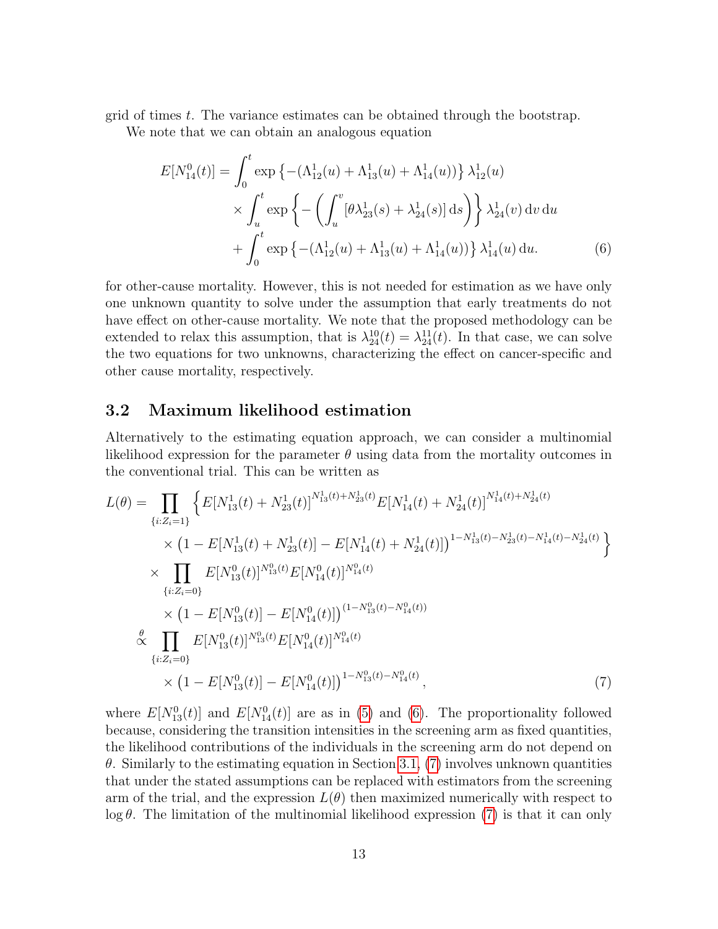grid of times t. The variance estimates can be obtained through the bootstrap.

We note that we can obtain an analogous equation

<span id="page-12-0"></span>
$$
E[N_{14}^{0}(t)] = \int_{0}^{t} \exp \left\{ - (\Lambda_{12}^{1}(u) + \Lambda_{13}^{1}(u) + \Lambda_{14}^{1}(u)) \right\} \lambda_{12}^{1}(u)
$$
  
 
$$
\times \int_{u}^{t} \exp \left\{ - \left( \int_{u}^{v} [\theta \lambda_{23}^{1}(s) + \lambda_{24}^{1}(s)] ds \right) \right\} \lambda_{24}^{1}(v) dv du
$$
  
+ 
$$
\int_{0}^{t} \exp \left\{ - (\Lambda_{12}^{1}(u) + \Lambda_{13}^{1}(u) + \Lambda_{14}^{1}(u)) \right\} \lambda_{14}^{1}(u) du.
$$
 (6)

for other-cause mortality. However, this is not needed for estimation as we have only one unknown quantity to solve under the assumption that early treatments do not have effect on other-cause mortality. We note that the proposed methodology can be extended to relax this assumption, that is  $\lambda_{24}^{10}(t) = \lambda_{24}^{11}(t)$ . In that case, we can solve the two equations for two unknowns, characterizing the effect on cancer-specific and other cause mortality, respectively.

#### 3.2 Maximum likelihood estimation

Alternatively to the estimating equation approach, we can consider a multinomial likelihood expression for the parameter  $\theta$  using data from the mortality outcomes in the conventional trial. This can be written as

$$
L(\theta) = \prod_{\{i: Z_i = 1\}} \left\{ E[N_{13}^1(t) + N_{23}^1(t)]^{N_{13}^1(t) + N_{23}^1(t)} E[N_{14}^1(t) + N_{24}^1(t)]^{N_{14}^1(t) + N_{24}^1(t)} \right. \\
\times (1 - E[N_{13}^1(t) + N_{23}^1(t)] - E[N_{14}^1(t) + N_{24}^1(t)])^{1 - N_{13}^1(t) - N_{23}^1(t) - N_{14}^1(t) - N_{24}^1(t)} \left. \right\}
$$
\n
$$
\times \prod_{\{i: Z_i = 0\}} E[N_{13}^0(t)]^{N_{13}^0(t)} E[N_{14}^0(t)]^{N_{14}^0(t)}
$$
\n
$$
\times (1 - E[N_{13}^0(t)] - E[N_{14}^0(t)])^{(1 - N_{13}^0(t) - N_{14}^0(t))}
$$
\n
$$
\stackrel{\theta}{\propto} \prod_{\{i: Z_i = 0\}} E[N_{13}^0(t)]^{N_{13}^0(t)} E[N_{14}^0(t)]^{N_{14}^0(t)}
$$
\n
$$
\times (1 - E[N_{13}^0(t)] - E[N_{14}^0(t)])^{1 - N_{13}^0(t) - N_{14}^0(t)}, \tag{7}
$$

<span id="page-12-1"></span>where  $E[N_{13}^0(t)]$  and  $E[N_{14}^0(t)]$  are as in [\(5\)](#page-10-1) and [\(6\)](#page-12-0). The proportionality followed because, considering the transition intensities in the screening arm as fixed quantities, the likelihood contributions of the individuals in the screening arm do not depend on θ. Similarly to the estimating equation in Section [3.1,](#page-10-2) [\(7\)](#page-12-1) involves unknown quantities that under the stated assumptions can be replaced with estimators from the screening arm of the trial, and the expression  $L(\theta)$  then maximized numerically with respect to  $\log \theta$ . The limitation of the multinomial likelihood expression [\(7\)](#page-12-1) is that it can only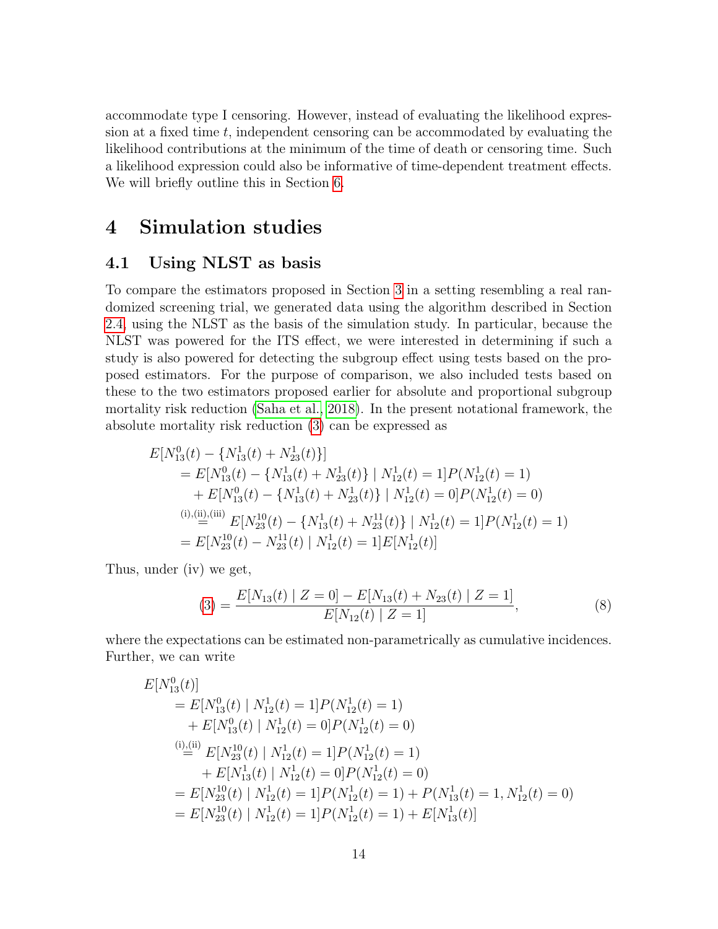accommodate type I censoring. However, instead of evaluating the likelihood expression at a fixed time  $t$ , independent censoring can be accommodated by evaluating the likelihood contributions at the minimum of the time of death or censoring time. Such a likelihood expression could also be informative of time-dependent treatment effects. We will briefly outline this in Section [6.](#page-18-0)

### 4 Simulation studies

#### <span id="page-13-0"></span>4.1 Using NLST as basis

To compare the estimators proposed in Section [3](#page-10-0) in a setting resembling a real randomized screening trial, we generated data using the algorithm described in Section [2.4,](#page-8-1) using the NLST as the basis of the simulation study. In particular, because the NLST was powered for the ITS effect, we were interested in determining if such a study is also powered for detecting the subgroup effect using tests based on the proposed estimators. For the purpose of comparison, we also included tests based on these to the two estimators proposed earlier for absolute and proportional subgroup mortality risk reduction [\(Saha et al., 2018\)](#page-25-1). In the present notational framework, the absolute mortality risk reduction [\(3\)](#page-6-0) can be expressed as

$$
E[N_{13}^{0}(t) - \{N_{13}^{1}(t) + N_{23}^{1}(t)\}]
$$
  
=  $E[N_{13}^{0}(t) - \{N_{13}^{1}(t) + N_{23}^{1}(t)\} | N_{12}^{1}(t) = 1]P(N_{12}^{1}(t) = 1)$   
+  $E[N_{13}^{0}(t) - \{N_{13}^{1}(t) + N_{23}^{1}(t)\} | N_{12}^{1}(t) = 0]P(N_{12}^{1}(t) = 0)$   
<sup>(i), (ii), (iii)  $E[N_{23}^{10}(t) - \{N_{13}^{1}(t) + N_{23}^{11}(t)\} | N_{12}^{1}(t) = 1]P(N_{12}^{1}(t) = 1)$   
=  $E[N_{23}^{10}(t) - N_{23}^{11}(t) | N_{12}^{1}(t) = 1]E[N_{12}^{1}(t)]$</sup> 

Thus, under (iv) we get,

<span id="page-13-1"></span>
$$
(3) = \frac{E[N_{13}(t) | Z = 0] - E[N_{13}(t) + N_{23}(t) | Z = 1]}{E[N_{12}(t) | Z = 1]},
$$
\n(8)

where the expectations can be estimated non-parametrically as cumulative incidences. Further, we can write

$$
E[N_{13}^{0}(t)]
$$
  
=  $E[N_{13}^{0}(t) | N_{12}^{1}(t) = 1]P(N_{12}^{1}(t) = 1)$   
+  $E[N_{13}^{0}(t) | N_{12}^{1}(t) = 0]P(N_{12}^{1}(t) = 0)$   

$$
\stackrel{\text{(i)}\_\text{(ii)}}{=} E[N_{23}^{10}(t) | N_{12}^{1}(t) = 1]P(N_{12}^{1}(t) = 1)
$$
  
+  $E[N_{13}^{1}(t) | N_{12}^{1}(t) = 0]P(N_{12}^{1}(t) = 0)$   
=  $E[N_{23}^{10}(t) | N_{12}^{1}(t) = 1]P(N_{12}^{1}(t) = 1) + P(N_{13}^{1}(t) = 1, N_{12}^{1}(t) = 0)$   
=  $E[N_{23}^{10}(t) | N_{12}^{1}(t) = 1]P(N_{12}^{1}(t) = 1) + E[N_{13}^{1}(t)]$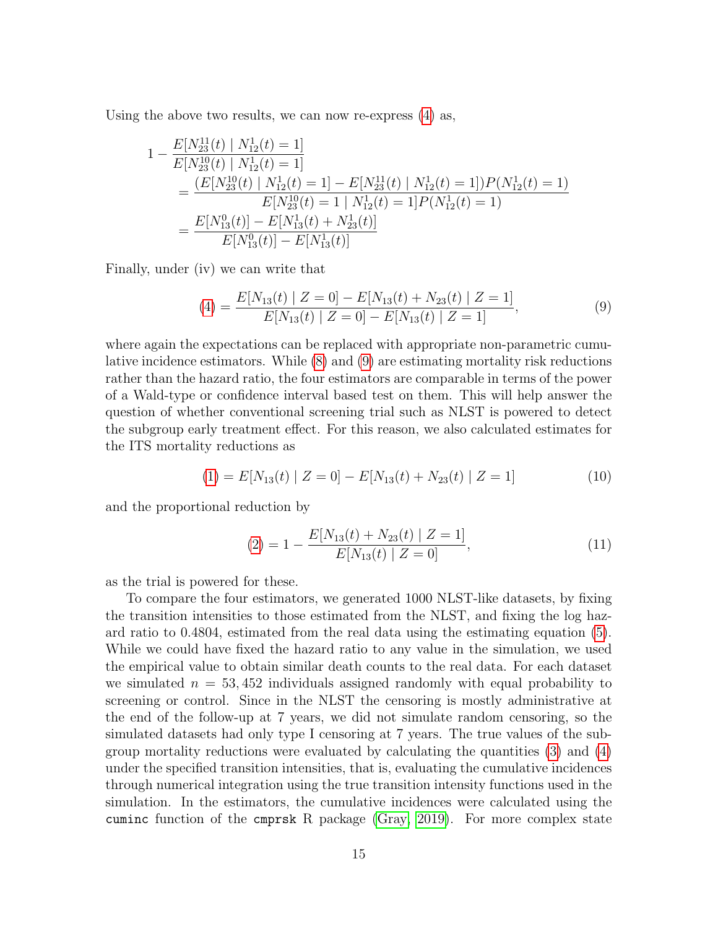Using the above two results, we can now re-express [\(4\)](#page-6-1) as,

$$
1 - \frac{E[N_{23}^{11}(t) | N_{12}^1(t) = 1]}{E[N_{23}^{10}(t) | N_{12}^1(t) = 1]}
$$
  
= 
$$
\frac{(E[N_{23}^{10}(t) | N_{12}^1(t) = 1] - E[N_{23}^{11}(t) | N_{12}^1(t) = 1])P(N_{12}^1(t) = 1)}{E[N_{23}^{10}(t) = 1 | N_{12}^1(t) = 1]P(N_{12}^1(t) = 1)}
$$
  
= 
$$
\frac{E[N_{13}^0(t)] - E[N_{13}^1(t) + N_{23}^1(t)]}{E[N_{13}^0(t)] - E[N_{13}^1(t)]}
$$

Finally, under (iv) we can write that

<span id="page-14-0"></span>
$$
(4) = \frac{E[N_{13}(t) | Z = 0] - E[N_{13}(t) + N_{23}(t) | Z = 1]}{E[N_{13}(t) | Z = 0] - E[N_{13}(t) | Z = 1]},
$$
\n(9)

where again the expectations can be replaced with appropriate non-parametric cumulative incidence estimators. While [\(8\)](#page-13-1) and [\(9\)](#page-14-0) are estimating mortality risk reductions rather than the hazard ratio, the four estimators are comparable in terms of the power of a Wald-type or confidence interval based test on them. This will help answer the question of whether conventional screening trial such as NLST is powered to detect the subgroup early treatment effect. For this reason, we also calculated estimates for the ITS mortality reductions as

<span id="page-14-1"></span>
$$
(1) = E[N_{13}(t) | Z = 0] - E[N_{13}(t) + N_{23}(t) | Z = 1]
$$
\n
$$
(10)
$$

and the proportional reduction by

<span id="page-14-2"></span>
$$
(2) = 1 - \frac{E[N_{13}(t) + N_{23}(t) | Z = 1]}{E[N_{13}(t) | Z = 0]},
$$
\n(11)

as the trial is powered for these.

To compare the four estimators, we generated 1000 NLST-like datasets, by fixing the transition intensities to those estimated from the NLST, and fixing the log hazard ratio to 0.4804, estimated from the real data using the estimating equation [\(5\)](#page-10-1). While we could have fixed the hazard ratio to any value in the simulation, we used the empirical value to obtain similar death counts to the real data. For each dataset we simulated  $n = 53,452$  individuals assigned randomly with equal probability to screening or control. Since in the NLST the censoring is mostly administrative at the end of the follow-up at 7 years, we did not simulate random censoring, so the simulated datasets had only type I censoring at 7 years. The true values of the subgroup mortality reductions were evaluated by calculating the quantities [\(3\)](#page-6-0) and [\(4\)](#page-6-1) under the specified transition intensities, that is, evaluating the cumulative incidences through numerical integration using the true transition intensity functions used in the simulation. In the estimators, the cumulative incidences were calculated using the cuminc function of the cmprsk R package [\(Gray, 2019\)](#page-23-10). For more complex state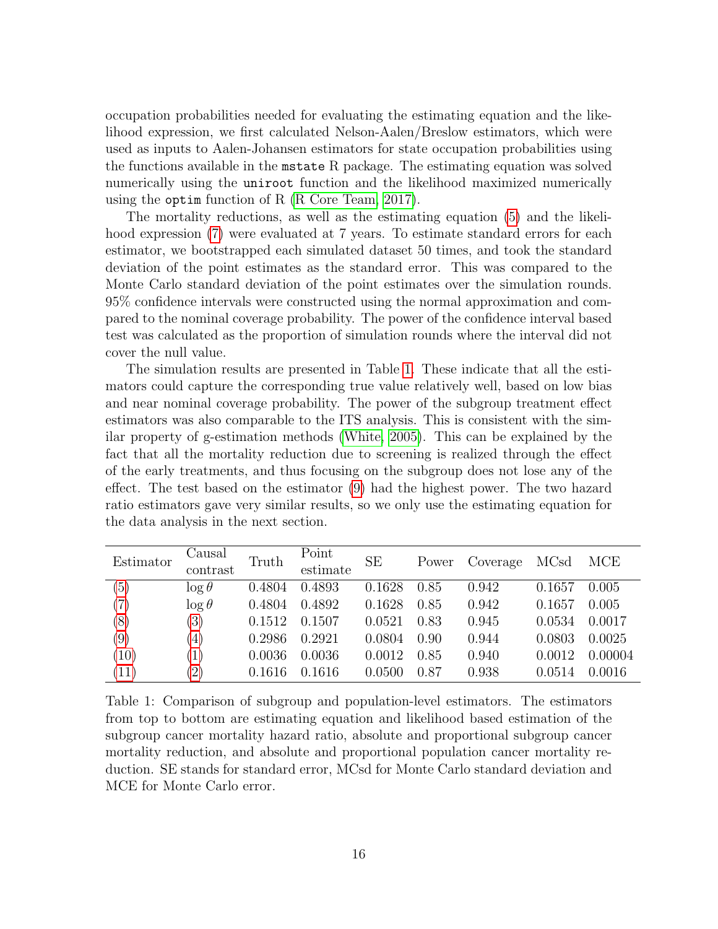occupation probabilities needed for evaluating the estimating equation and the likelihood expression, we first calculated Nelson-Aalen/Breslow estimators, which were used as inputs to Aalen-Johansen estimators for state occupation probabilities using the functions available in the mstate R package. The estimating equation was solved numerically using the uniroot function and the likelihood maximized numerically using the optim function of R [\(R Core Team, 2017\)](#page-25-11).

The mortality reductions, as well as the estimating equation [\(5\)](#page-10-1) and the likelihood expression [\(7\)](#page-12-1) were evaluated at 7 years. To estimate standard errors for each estimator, we bootstrapped each simulated dataset 50 times, and took the standard deviation of the point estimates as the standard error. This was compared to the Monte Carlo standard deviation of the point estimates over the simulation rounds. 95% confidence intervals were constructed using the normal approximation and compared to the nominal coverage probability. The power of the confidence interval based test was calculated as the proportion of simulation rounds where the interval did not cover the null value.

The simulation results are presented in Table [1.](#page-15-0) These indicate that all the estimators could capture the corresponding true value relatively well, based on low bias and near nominal coverage probability. The power of the subgroup treatment effect estimators was also comparable to the ITS analysis. This is consistent with the similar property of g-estimation methods [\(White, 2005\)](#page-26-4). This can be explained by the fact that all the mortality reduction due to screening is realized through the effect of the early treatments, and thus focusing on the subgroup does not lose any of the effect. The test based on the estimator [\(9\)](#page-14-0) had the highest power. The two hazard ratio estimators gave very similar results, so we only use the estimating equation for the data analysis in the next section.

<span id="page-15-0"></span>

| Estimator | Causal<br>contrast | Truth  | Point<br>estimate | <b>SE</b> | Power | Coverage | MCsd   | <b>MCE</b> |  |
|-----------|--------------------|--------|-------------------|-----------|-------|----------|--------|------------|--|
|           |                    |        |                   |           |       |          |        |            |  |
| (5)       | $\log \theta$      | 0.4804 | 0.4893            | 0.1628    | 0.85  | 0.942    | 0.1657 | 0.005      |  |
| (7)       | $\log \theta$      | 0.4804 | 0.4892            | 0.1628    | 0.85  | 0.942    | 0.1657 | 0.005      |  |
| (8)       | $\left( 3\right)$  | 0.1512 | 0.1507            | 0.0521    | 0.83  | 0.945    | 0.0534 | 0.0017     |  |
| (9)       | (4)                | 0.2986 | 0.2921            | 0.0804    | 0.90  | 0.944    | 0.0803 | 0.0025     |  |
| (10)      | $\left(1\right)$   | 0.0036 | 0.0036            | 0.0012    | 0.85  | 0.940    | 0.0012 | 0.00004    |  |
| (11)      | $\left(2\right)$   | 0.1616 | 0.1616            | 0.0500    | 0.87  | 0.938    | 0.0514 | 0.0016     |  |

Table 1: Comparison of subgroup and population-level estimators. The estimators from top to bottom are estimating equation and likelihood based estimation of the subgroup cancer mortality hazard ratio, absolute and proportional subgroup cancer mortality reduction, and absolute and proportional population cancer mortality reduction. SE stands for standard error, MCsd for Monte Carlo standard deviation and MCE for Monte Carlo error.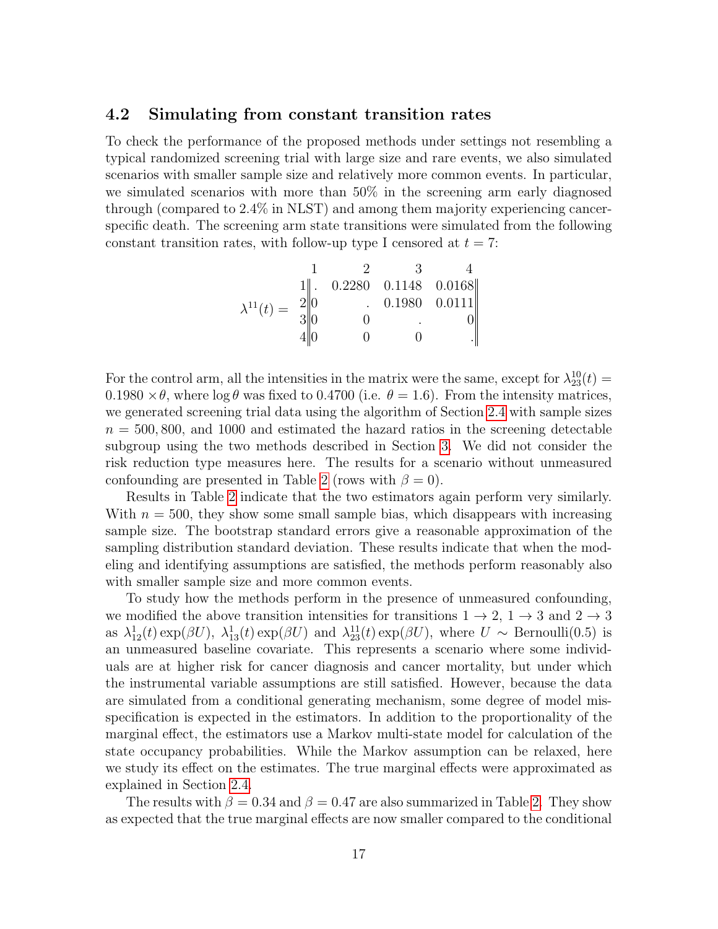#### 4.2 Simulating from constant transition rates

To check the performance of the proposed methods under settings not resembling a typical randomized screening trial with large size and rare events, we also simulated scenarios with smaller sample size and relatively more common events. In particular, we simulated scenarios with more than 50% in the screening arm early diagnosed through (compared to 2.4% in NLST) and among them majority experiencing cancerspecific death. The screening arm state transitions were simulated from the following constant transition rates, with follow-up type I censored at  $t = 7$ :

$$
\lambda^{11}(t) = \begin{bmatrix} 1 & 2 & 3 & 4 \\ 1 & 0.2280 & 0.1148 & 0.0168 \\ 2 & 0 & 0.1980 & 0.0111 \\ 3 & 0 & 0 & 0 \\ 4 & 0 & 0 & 0 \end{bmatrix}
$$

For the control arm, all the intensities in the matrix were the same, except for  $\lambda_{23}^{10}(t) =$  $0.1980 \times \theta$ , where  $\log \theta$  was fixed to 0.4700 (i.e.  $\theta = 1.6$ ). From the intensity matrices, we generated screening trial data using the algorithm of Section [2.4](#page-8-1) with sample sizes  $n = 500, 800,$  and 1000 and estimated the hazard ratios in the screening detectable subgroup using the two methods described in Section [3.](#page-10-0) We did not consider the risk reduction type measures here. The results for a scenario without unmeasured confounding are presented in Table [2](#page-17-1) (rows with  $\beta = 0$ ).

Results in Table [2](#page-17-1) indicate that the two estimators again perform very similarly. With  $n = 500$ , they show some small sample bias, which disappears with increasing sample size. The bootstrap standard errors give a reasonable approximation of the sampling distribution standard deviation. These results indicate that when the modeling and identifying assumptions are satisfied, the methods perform reasonably also with smaller sample size and more common events.

To study how the methods perform in the presence of unmeasured confounding, we modified the above transition intensities for transitions  $1 \rightarrow 2$ ,  $1 \rightarrow 3$  and  $2 \rightarrow 3$ as  $\lambda_{12}^1(t) \exp(\beta U)$ ,  $\lambda_{13}^1(t) \exp(\beta U)$  and  $\lambda_{23}^{11}(t) \exp(\beta U)$ , where  $U \sim \text{Bernoulli}(0.5)$  is an unmeasured baseline covariate. This represents a scenario where some individuals are at higher risk for cancer diagnosis and cancer mortality, but under which the instrumental variable assumptions are still satisfied. However, because the data are simulated from a conditional generating mechanism, some degree of model misspecification is expected in the estimators. In addition to the proportionality of the marginal effect, the estimators use a Markov multi-state model for calculation of the state occupancy probabilities. While the Markov assumption can be relaxed, here we study its effect on the estimates. The true marginal effects were approximated as explained in Section [2.4.](#page-8-1)

The results with  $\beta = 0.34$  and  $\beta = 0.47$  are also summarized in Table [2.](#page-17-1) They show as expected that the true marginal effects are now smaller compared to the conditional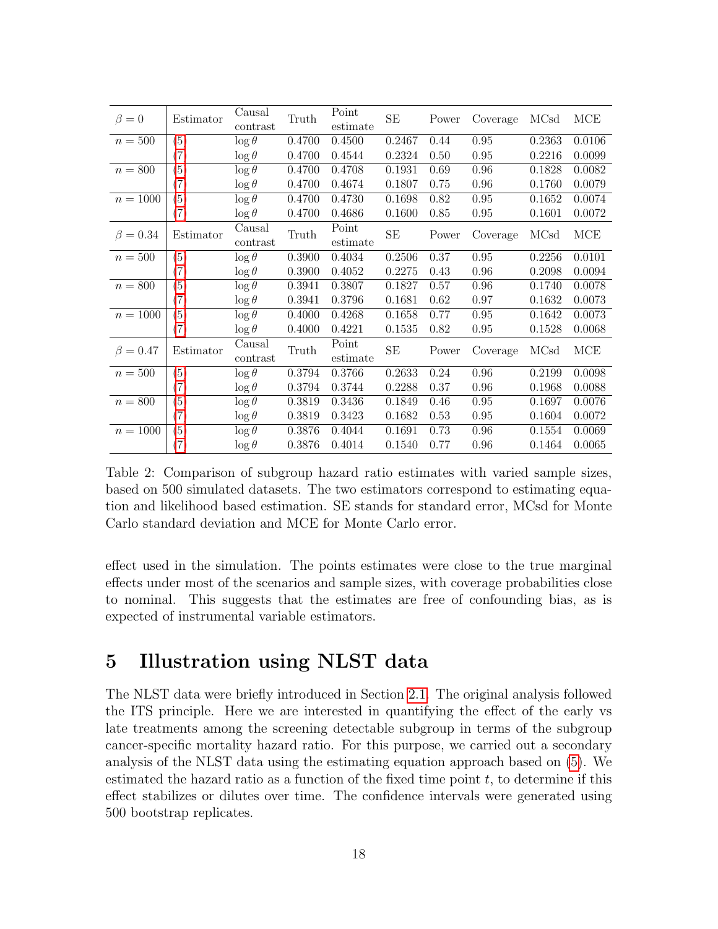<span id="page-17-1"></span>

| $\beta = 0$    | Estimator         | Causal<br>contrast       | Truth  | Point<br>estimate | SE     | Power | Coverage | MCsd   | MCE    |
|----------------|-------------------|--------------------------|--------|-------------------|--------|-------|----------|--------|--------|
| $n = 500$      | (5)               | $\log \theta$            | 0.4700 | 0.4500            | 0.2467 | 0.44  | 0.95     | 0.2363 | 0.0106 |
|                | $\left( 7\right)$ | $\log \theta$            | 0.4700 | 0.4544            | 0.2324 | 0.50  | 0.95     | 0.2216 | 0.0099 |
| $n = 800$      | (5)               | $\log \theta$            | 0.4700 | 0.4708            | 0.1931 | 0.69  | 0.96     | 0.1828 | 0.0082 |
|                | (7)               | $\log \theta$            | 0.4700 | 0.4674            | 0.1807 | 0.75  | 0.96     | 0.1760 | 0.0079 |
| $n = 1000$     | (5)               | $\log \overline{\theta}$ | 0.4700 | 0.4730            | 0.1698 | 0.82  | 0.95     | 0.1652 | 0.0074 |
|                | (7)               | $\log \theta$            | 0.4700 | 0.4686            | 0.1600 | 0.85  | 0.95     | 0.1601 | 0.0072 |
| $\beta = 0.34$ | Estimator         | Causal<br>contrast       | Truth  | Point<br>estimate | SE     | Power | Coverage | MCsd   | MCE    |
| $n=500$        | (5)               | $\log \theta$            | 0.3900 | 0.4034            | 0.2506 | 0.37  | 0.95     | 0.2256 | 0.0101 |
|                | $\left( 7\right)$ | $\log \theta$            | 0.3900 | 0.4052            | 0.2275 | 0.43  | 0.96     | 0.2098 | 0.0094 |
| $n = 800$      | (5)               | $\log \theta$            | 0.3941 | 0.3807            | 0.1827 | 0.57  | 0.96     | 0.1740 | 0.0078 |
|                | $\left( 7\right)$ | $\log \theta$            | 0.3941 | 0.3796            | 0.1681 | 0.62  | 0.97     | 0.1632 | 0.0073 |
| $n = 1000$     | (5)               | $\log \theta$            | 0.4000 | 0.4268            | 0.1658 | 0.77  | 0.95     | 0.1642 | 0.0073 |
|                | (7)               | $\log \theta$            | 0.4000 | 0.4221            | 0.1535 | 0.82  | 0.95     | 0.1528 | 0.0068 |
| $\beta = 0.47$ | Estimator         | Causal<br>contrast       | Truth  | Point<br>estimate | SE     | Power | Coverage | MCsd   | MCE    |
| $n = 500$      | (5)               | $\log \theta$            | 0.3794 | 0.3766            | 0.2633 | 0.24  | 0.96     | 0.2199 | 0.0098 |
|                | $\left( 7\right)$ | $\log \theta$            | 0.3794 | 0.3744            | 0.2288 | 0.37  | 0.96     | 0.1968 | 0.0088 |
| $n = 800$      | (5)               | $\log \theta$            | 0.3819 | 0.3436            | 0.1849 | 0.46  | 0.95     | 0.1697 | 0.0076 |
|                | $\left( 7\right)$ | $\log \theta$            | 0.3819 | 0.3423            | 0.1682 | 0.53  | 0.95     | 0.1604 | 0.0072 |
| $n = 1000$     | (5)               | $\log \theta$            | 0.3876 | 0.4044            | 0.1691 | 0.73  | 0.96     | 0.1554 | 0.0069 |
|                | (7)               | $\log \theta$            | 0.3876 | 0.4014            | 0.1540 | 0.77  | 0.96     | 0.1464 | 0.0065 |

Table 2: Comparison of subgroup hazard ratio estimates with varied sample sizes, based on 500 simulated datasets. The two estimators correspond to estimating equation and likelihood based estimation. SE stands for standard error, MCsd for Monte Carlo standard deviation and MCE for Monte Carlo error.

effect used in the simulation. The points estimates were close to the true marginal effects under most of the scenarios and sample sizes, with coverage probabilities close to nominal. This suggests that the estimates are free of confounding bias, as is expected of instrumental variable estimators.

### <span id="page-17-0"></span>5 Illustration using NLST data

The NLST data were briefly introduced in Section [2.1.](#page-3-0) The original analysis followed the ITS principle. Here we are interested in quantifying the effect of the early vs late treatments among the screening detectable subgroup in terms of the subgroup cancer-specific mortality hazard ratio. For this purpose, we carried out a secondary analysis of the NLST data using the estimating equation approach based on [\(5\)](#page-10-1). We estimated the hazard ratio as a function of the fixed time point  $t$ , to determine if this effect stabilizes or dilutes over time. The confidence intervals were generated using 500 bootstrap replicates.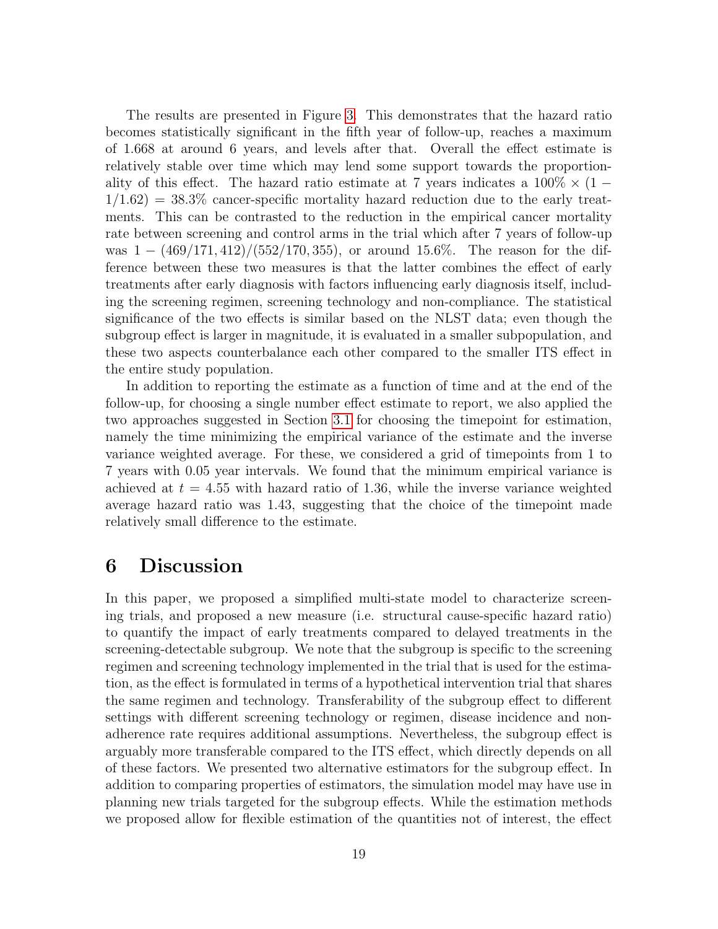The results are presented in Figure [3.](#page-19-0) This demonstrates that the hazard ratio becomes statistically significant in the fifth year of follow-up, reaches a maximum of 1.668 at around 6 years, and levels after that. Overall the effect estimate is relatively stable over time which may lend some support towards the proportionality of this effect. The hazard ratio estimate at 7 years indicates a  $100\% \times (1 1/1.62$ ) = 38.3% cancer-specific mortality hazard reduction due to the early treatments. This can be contrasted to the reduction in the empirical cancer mortality rate between screening and control arms in the trial which after 7 years of follow-up was  $1 - \frac{469}{171,412}/(552/170,355)$ , or around 15.6%. The reason for the difference between these two measures is that the latter combines the effect of early treatments after early diagnosis with factors influencing early diagnosis itself, including the screening regimen, screening technology and non-compliance. The statistical significance of the two effects is similar based on the NLST data; even though the subgroup effect is larger in magnitude, it is evaluated in a smaller subpopulation, and these two aspects counterbalance each other compared to the smaller ITS effect in the entire study population.

In addition to reporting the estimate as a function of time and at the end of the follow-up, for choosing a single number effect estimate to report, we also applied the two approaches suggested in Section [3.1](#page-10-2) for choosing the timepoint for estimation, namely the time minimizing the empirical variance of the estimate and the inverse variance weighted average. For these, we considered a grid of timepoints from 1 to 7 years with 0.05 year intervals. We found that the minimum empirical variance is achieved at  $t = 4.55$  with hazard ratio of 1.36, while the inverse variance weighted average hazard ratio was 1.43, suggesting that the choice of the timepoint made relatively small difference to the estimate.

### <span id="page-18-0"></span>6 Discussion

In this paper, we proposed a simplified multi-state model to characterize screening trials, and proposed a new measure (i.e. structural cause-specific hazard ratio) to quantify the impact of early treatments compared to delayed treatments in the screening-detectable subgroup. We note that the subgroup is specific to the screening regimen and screening technology implemented in the trial that is used for the estimation, as the effect is formulated in terms of a hypothetical intervention trial that shares the same regimen and technology. Transferability of the subgroup effect to different settings with different screening technology or regimen, disease incidence and nonadherence rate requires additional assumptions. Nevertheless, the subgroup effect is arguably more transferable compared to the ITS effect, which directly depends on all of these factors. We presented two alternative estimators for the subgroup effect. In addition to comparing properties of estimators, the simulation model may have use in planning new trials targeted for the subgroup effects. While the estimation methods we proposed allow for flexible estimation of the quantities not of interest, the effect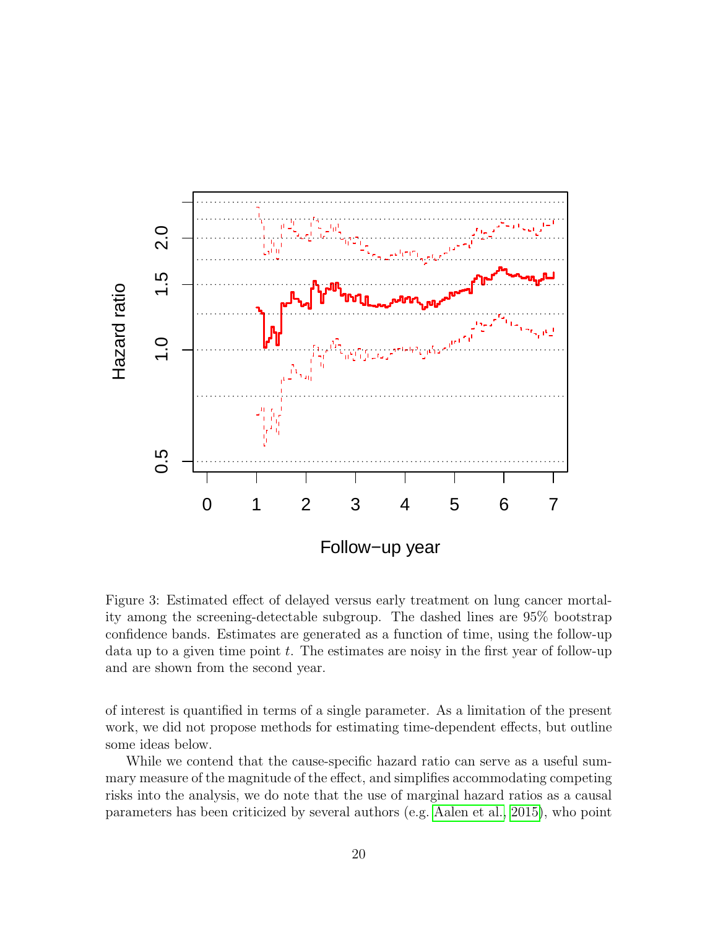<span id="page-19-0"></span>

Figure 3: Estimated effect of delayed versus early treatment on lung cancer mortality among the screening-detectable subgroup. The dashed lines are 95% bootstrap confidence bands. Estimates are generated as a function of time, using the follow-up data up to a given time point  $t$ . The estimates are noisy in the first year of follow-up and are shown from the second year.

of interest is quantified in terms of a single parameter. As a limitation of the present work, we did not propose methods for estimating time-dependent effects, but outline some ideas below.

While we contend that the cause-specific hazard ratio can serve as a useful summary measure of the magnitude of the effect, and simplifies accommodating competing risks into the analysis, we do note that the use of marginal hazard ratios as a causal parameters has been criticized by several authors (e.g. [Aalen et al., 2015\)](#page-22-1), who point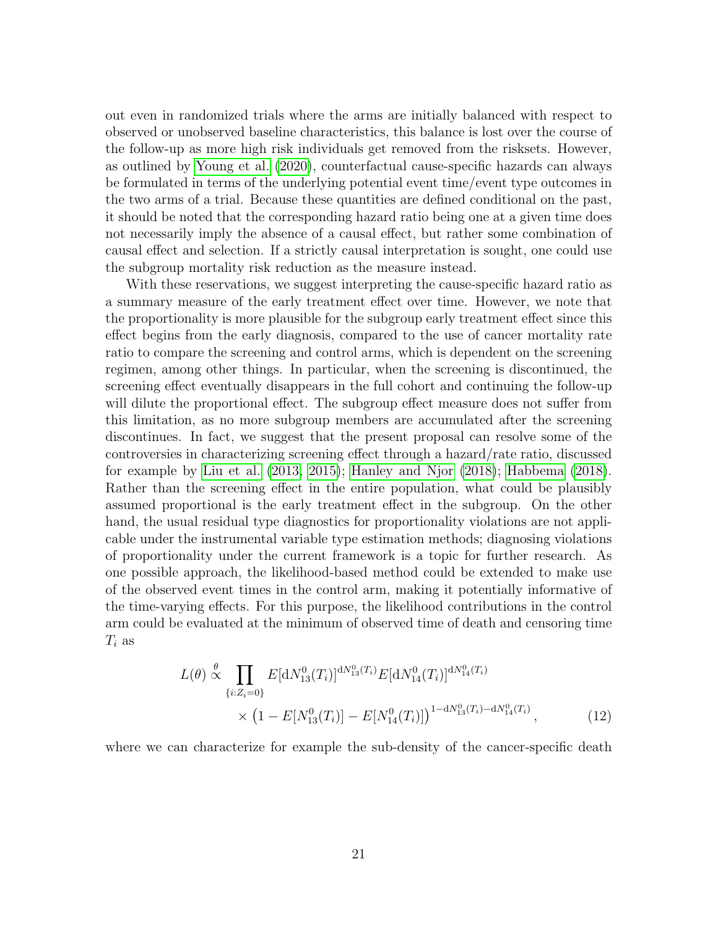out even in randomized trials where the arms are initially balanced with respect to observed or unobserved baseline characteristics, this balance is lost over the course of the follow-up as more high risk individuals get removed from the risksets. However, as outlined by [Young et al.](#page-26-3) [\(2020\)](#page-26-3), counterfactual cause-specific hazards can always be formulated in terms of the underlying potential event time/event type outcomes in the two arms of a trial. Because these quantities are defined conditional on the past, it should be noted that the corresponding hazard ratio being one at a given time does not necessarily imply the absence of a causal effect, but rather some combination of causal effect and selection. If a strictly causal interpretation is sought, one could use the subgroup mortality risk reduction as the measure instead.

With these reservations, we suggest interpreting the cause-specific hazard ratio as a summary measure of the early treatment effect over time. However, we note that the proportionality is more plausible for the subgroup early treatment effect since this effect begins from the early diagnosis, compared to the use of cancer mortality rate ratio to compare the screening and control arms, which is dependent on the screening regimen, among other things. In particular, when the screening is discontinued, the screening effect eventually disappears in the full cohort and continuing the follow-up will dilute the proportional effect. The subgroup effect measure does not suffer from this limitation, as no more subgroup members are accumulated after the screening discontinues. In fact, we suggest that the present proposal can resolve some of the controversies in characterizing screening effect through a hazard/rate ratio, discussed for example by [Liu et al.](#page-24-12) [\(2013,](#page-24-12) [2015\)](#page-24-13); [Hanley and Njor](#page-23-11) [\(2018\)](#page-23-11); [Habbema](#page-23-12) [\(2018\)](#page-23-12). Rather than the screening effect in the entire population, what could be plausibly assumed proportional is the early treatment effect in the subgroup. On the other hand, the usual residual type diagnostics for proportionality violations are not applicable under the instrumental variable type estimation methods; diagnosing violations of proportionality under the current framework is a topic for further research. As one possible approach, the likelihood-based method could be extended to make use of the observed event times in the control arm, making it potentially informative of the time-varying effects. For this purpose, the likelihood contributions in the control arm could be evaluated at the minimum of observed time of death and censoring time  $T_i$  as

<span id="page-20-0"></span>
$$
L(\theta) \stackrel{\theta}{\propto} \prod_{\{i: Z_i = 0\}} E[\mathrm{d}N_{13}^0(T_i)]^{\mathrm{d}N_{13}^0(T_i)} E[\mathrm{d}N_{14}^0(T_i)]^{\mathrm{d}N_{14}^0(T_i)} \\
\times \left(1 - E[N_{13}^0(T_i)] - E[N_{14}^0(T_i)]\right)^{1 - \mathrm{d}N_{13}^0(T_i) - \mathrm{d}N_{14}^0(T_i)},
$$
\n(12)

where we can characterize for example the sub-density of the cancer-specific death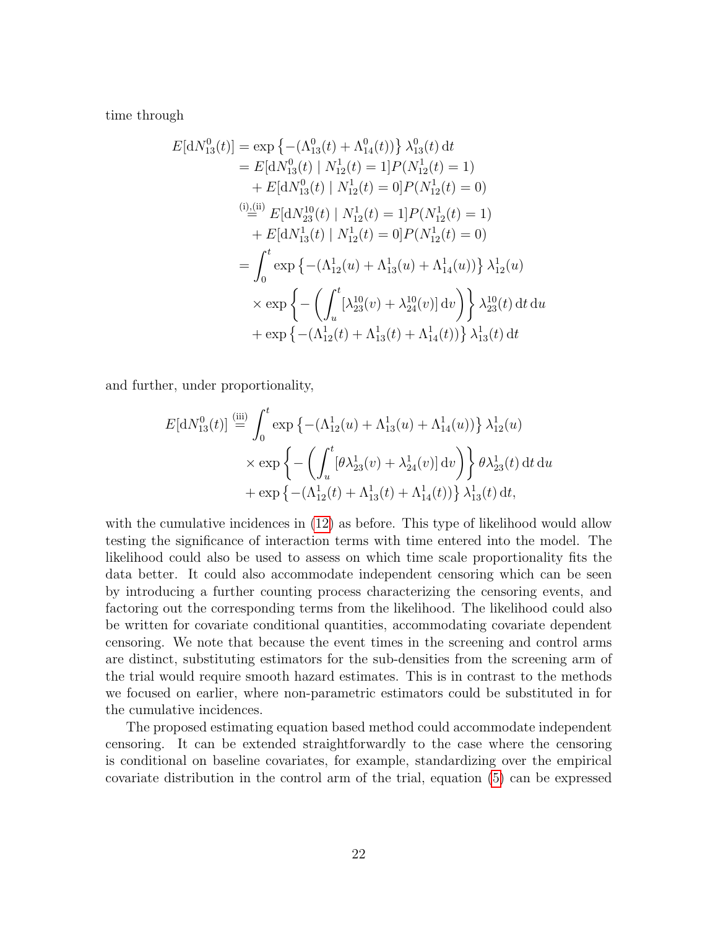time through

$$
E[\mathrm{d}N_{13}^{0}(t)] = \exp \left\{- (\Lambda_{13}^{0}(t) + \Lambda_{14}^{0}(t))\right\} \lambda_{13}^{0}(t) \,\mathrm{d}t
$$
  
\n
$$
= E[\mathrm{d}N_{13}^{0}(t) | N_{12}^{1}(t) = 1] P(N_{12}^{1}(t) = 1)
$$
  
\n
$$
+ E[\mathrm{d}N_{13}^{0}(t) | N_{12}^{1}(t) = 0] P(N_{12}^{1}(t) = 0)
$$
  
\n(i) (ii) 
$$
E[\mathrm{d}N_{23}^{10}(t) | N_{12}^{1}(t) = 1] P(N_{12}^{1}(t) = 1)
$$
  
\n
$$
+ E[\mathrm{d}N_{13}^{1}(t) | N_{12}^{1}(t) = 0] P(N_{12}^{1}(t) = 0)
$$
  
\n
$$
= \int_{0}^{t} \exp \left\{- (\Lambda_{12}^{1}(u) + \Lambda_{13}^{1}(u) + \Lambda_{14}^{1}(u))\right\} \lambda_{12}^{1}(u)
$$
  
\n
$$
\times \exp \left\{- \left(\int_{u}^{t} [\lambda_{23}^{10}(v) + \lambda_{24}^{10}(v)] \,\mathrm{d}v\right)\right\} \lambda_{23}^{10}(t) \,\mathrm{d}t \,\mathrm{d}u
$$
  
\n
$$
+ \exp \left\{- (\Lambda_{12}^{1}(t) + \Lambda_{13}^{1}(t) + \Lambda_{14}^{1}(t))\right\} \lambda_{13}^{1}(t) \,\mathrm{d}t
$$

and further, under proportionality,

$$
E[\mathrm{d}N_{13}^0(t)] \stackrel{\text{(iii)}}{=} \int_0^t \exp\left\{-\left(\Lambda_{12}^1(u) + \Lambda_{13}^1(u) + \Lambda_{14}^1(u)\right)\right\} \lambda_{12}^1(u)
$$
  
 
$$
\times \exp\left\{-\left(\int_u^t [\theta \lambda_{23}^1(v) + \lambda_{24}^1(v)] \,\mathrm{d}v\right)\right\} \theta \lambda_{23}^1(t) \,\mathrm{d}t \,\mathrm{d}u
$$
  
+ 
$$
\exp\left\{-\left(\Lambda_{12}^1(t) + \Lambda_{13}^1(t) + \Lambda_{14}^1(t)\right)\right\} \lambda_{13}^1(t) \,\mathrm{d}t,
$$

with the cumulative incidences in [\(12\)](#page-20-0) as before. This type of likelihood would allow testing the significance of interaction terms with time entered into the model. The likelihood could also be used to assess on which time scale proportionality fits the data better. It could also accommodate independent censoring which can be seen by introducing a further counting process characterizing the censoring events, and factoring out the corresponding terms from the likelihood. The likelihood could also be written for covariate conditional quantities, accommodating covariate dependent censoring. We note that because the event times in the screening and control arms are distinct, substituting estimators for the sub-densities from the screening arm of the trial would require smooth hazard estimates. This is in contrast to the methods we focused on earlier, where non-parametric estimators could be substituted in for the cumulative incidences.

The proposed estimating equation based method could accommodate independent censoring. It can be extended straightforwardly to the case where the censoring is conditional on baseline covariates, for example, standardizing over the empirical covariate distribution in the control arm of the trial, equation [\(5\)](#page-10-1) can be expressed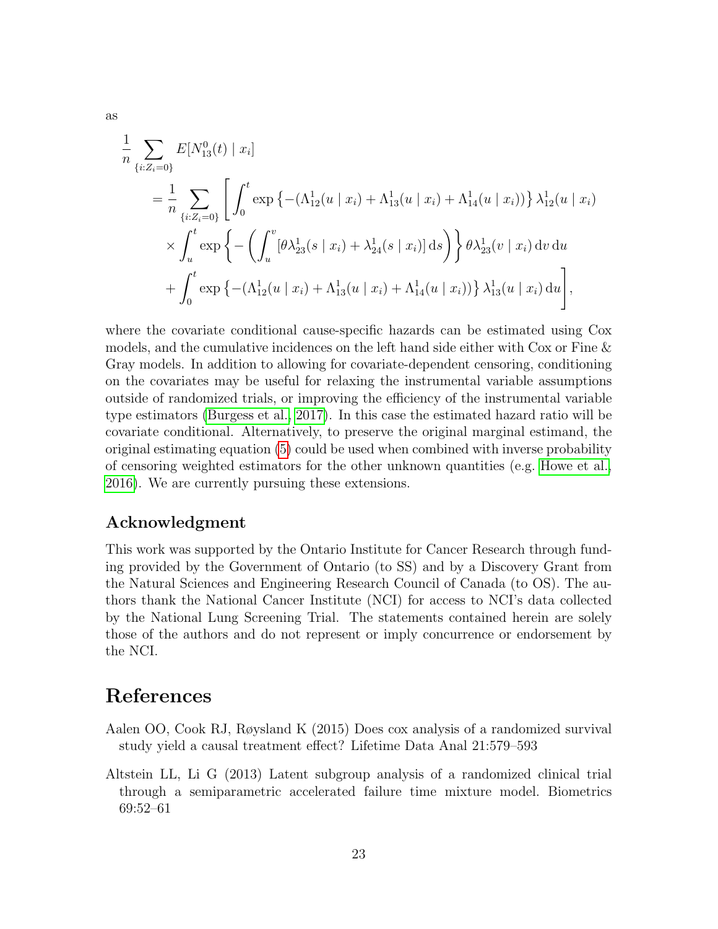$$
\frac{1}{n} \sum_{\{i: Z_i = 0\}} E[N_{13}^0(t) | x_i]
$$
\n
$$
= \frac{1}{n} \sum_{\{i: Z_i = 0\}} \left[ \int_0^t \exp \left\{ - (\Lambda_{12}^1(u | x_i) + \Lambda_{13}^1(u | x_i) + \Lambda_{14}^1(u | x_i)) \right\} \lambda_{12}^1(u | x_i)
$$
\n
$$
\times \int_u^t \exp \left\{ - \left( \int_u^v [\theta \lambda_{23}^1(s | x_i) + \lambda_{24}^1(s | x_i)] ds \right) \right\} \theta \lambda_{23}^1(v | x_i) dv du
$$
\n
$$
+ \int_0^t \exp \left\{ - (\Lambda_{12}^1(u | x_i) + \Lambda_{13}^1(u | x_i) + \Lambda_{14}^1(u | x_i)) \right\} \lambda_{13}^1(u | x_i) du \right],
$$

where the covariate conditional cause-specific hazards can be estimated using Cox models, and the cumulative incidences on the left hand side either with Cox or Fine & Gray models. In addition to allowing for covariate-dependent censoring, conditioning on the covariates may be useful for relaxing the instrumental variable assumptions outside of randomized trials, or improving the efficiency of the instrumental variable type estimators [\(Burgess et al., 2017\)](#page-23-13). In this case the estimated hazard ratio will be covariate conditional. Alternatively, to preserve the original marginal estimand, the original estimating equation [\(5\)](#page-10-1) could be used when combined with inverse probability of censoring weighted estimators for the other unknown quantities (e.g. [Howe et al.,](#page-24-14) [2016\)](#page-24-14). We are currently pursuing these extensions.

#### Acknowledgment

This work was supported by the Ontario Institute for Cancer Research through funding provided by the Government of Ontario (to SS) and by a Discovery Grant from the Natural Sciences and Engineering Research Council of Canada (to OS). The authors thank the National Cancer Institute (NCI) for access to NCI's data collected by the National Lung Screening Trial. The statements contained herein are solely those of the authors and do not represent or imply concurrence or endorsement by the NCI.

### References

- <span id="page-22-1"></span>Aalen OO, Cook RJ, Røysland K (2015) Does cox analysis of a randomized survival study yield a causal treatment effect? Lifetime Data Anal 21:579–593
- <span id="page-22-0"></span>Altstein LL, Li G (2013) Latent subgroup analysis of a randomized clinical trial through a semiparametric accelerated failure time mixture model. Biometrics 69:52–61

as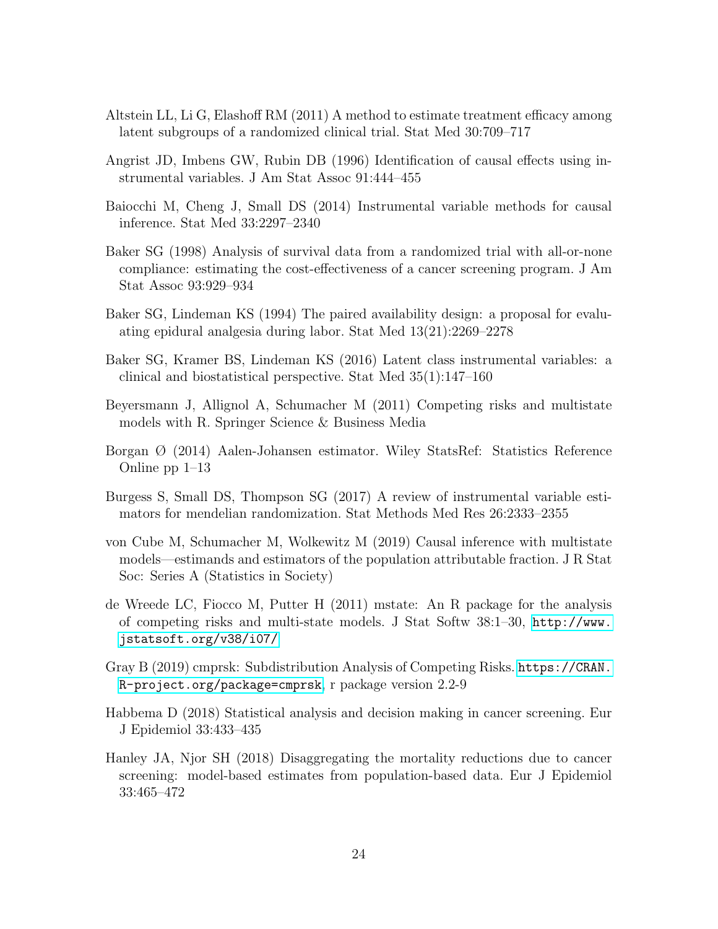- <span id="page-23-5"></span>Altstein LL, Li G, Elashoff RM (2011) A method to estimate treatment efficacy among latent subgroups of a randomized clinical trial. Stat Med 30:709–717
- <span id="page-23-1"></span>Angrist JD, Imbens GW, Rubin DB (1996) Identification of causal effects using instrumental variables. J Am Stat Assoc 91:444–455
- <span id="page-23-2"></span>Baiocchi M, Cheng J, Small DS (2014) Instrumental variable methods for causal inference. Stat Med 33:2297–2340
- <span id="page-23-4"></span>Baker SG (1998) Analysis of survival data from a randomized trial with all-or-none compliance: estimating the cost-effectiveness of a cancer screening program. J Am Stat Assoc 93:929–934
- <span id="page-23-0"></span>Baker SG, Lindeman KS (1994) The paired availability design: a proposal for evaluating epidural analgesia during labor. Stat Med 13(21):2269–2278
- <span id="page-23-3"></span>Baker SG, Kramer BS, Lindeman KS (2016) Latent class instrumental variables: a clinical and biostatistical perspective. Stat Med 35(1):147–160
- <span id="page-23-7"></span>Beyersmann J, Allignol A, Schumacher M (2011) Competing risks and multistate models with R. Springer Science & Business Media
- <span id="page-23-8"></span>Borgan Ø (2014) Aalen-Johansen estimator. Wiley StatsRef: Statistics Reference Online pp 1–13
- <span id="page-23-13"></span>Burgess S, Small DS, Thompson SG (2017) A review of instrumental variable estimators for mendelian randomization. Stat Methods Med Res 26:2333–2355
- <span id="page-23-6"></span>von Cube M, Schumacher M, Wolkewitz M (2019) Causal inference with multistate models—estimands and estimators of the population attributable fraction. J R Stat Soc: Series A (Statistics in Society)
- <span id="page-23-9"></span>de Wreede LC, Fiocco M, Putter H (2011) mstate: An R package for the analysis of competing risks and multi-state models. J Stat Softw 38:1–30, [http://www.](http://www.jstatsoft.org/v38/i07/) [jstatsoft.org/v38/i07/](http://www.jstatsoft.org/v38/i07/)
- <span id="page-23-10"></span>Gray B (2019) cmprsk: Subdistribution Analysis of Competing Risks. [https://CRAN.](https://CRAN.R-project.org/package=cmprsk) [R-project.org/package=cmprsk](https://CRAN.R-project.org/package=cmprsk), r package version 2.2-9
- <span id="page-23-12"></span>Habbema D (2018) Statistical analysis and decision making in cancer screening. Eur J Epidemiol 33:433–435
- <span id="page-23-11"></span>Hanley JA, Njor SH (2018) Disaggregating the mortality reductions due to cancer screening: model-based estimates from population-based data. Eur J Epidemiol 33:465–472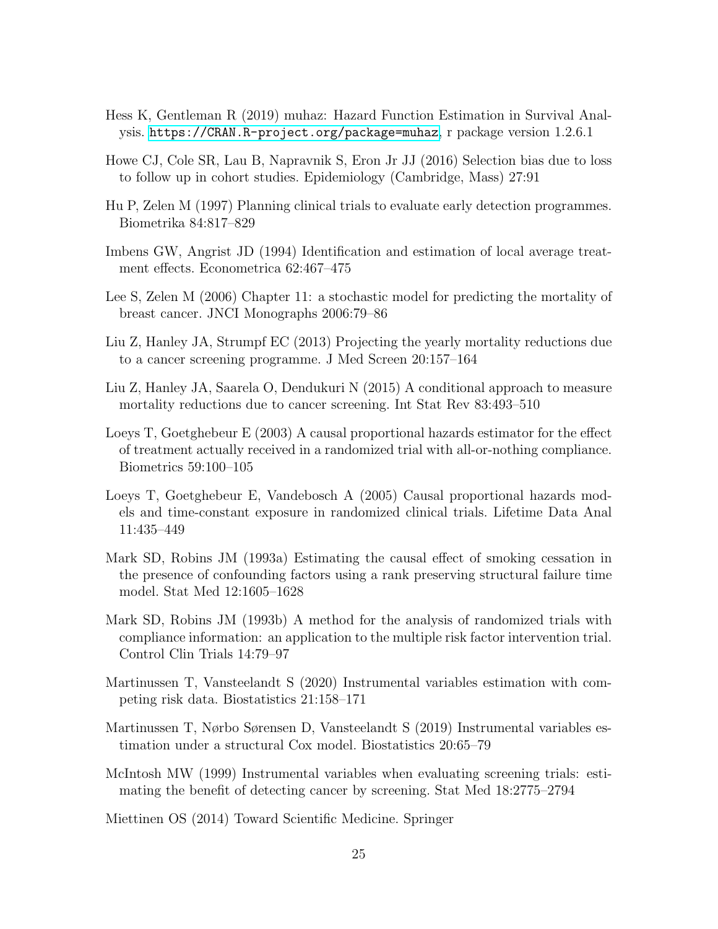- <span id="page-24-11"></span>Hess K, Gentleman R (2019) muhaz: Hazard Function Estimation in Survival Analysis. <https://CRAN.R-project.org/package=muhaz>, r package version 1.2.6.1
- <span id="page-24-14"></span>Howe CJ, Cole SR, Lau B, Napravnik S, Eron Jr JJ (2016) Selection bias due to loss to follow up in cohort studies. Epidemiology (Cambridge, Mass) 27:91
- <span id="page-24-0"></span>Hu P, Zelen M (1997) Planning clinical trials to evaluate early detection programmes. Biometrika 84:817–829
- <span id="page-24-1"></span>Imbens GW, Angrist JD (1994) Identification and estimation of local average treatment effects. Econometrica 62:467–475
- <span id="page-24-10"></span>Lee S, Zelen M (2006) Chapter 11: a stochastic model for predicting the mortality of breast cancer. JNCI Monographs 2006:79–86
- <span id="page-24-12"></span>Liu Z, Hanley JA, Strumpf EC (2013) Projecting the yearly mortality reductions due to a cancer screening programme. J Med Screen 20:157–164
- <span id="page-24-13"></span>Liu Z, Hanley JA, Saarela O, Dendukuri N (2015) A conditional approach to measure mortality reductions due to cancer screening. Int Stat Rev 83:493–510
- <span id="page-24-6"></span>Loeys T, Goetghebeur E (2003) A causal proportional hazards estimator for the effect of treatment actually received in a randomized trial with all-or-nothing compliance. Biometrics 59:100–105
- <span id="page-24-7"></span>Loeys T, Goetghebeur E, Vandebosch A (2005) Causal proportional hazards models and time-constant exposure in randomized clinical trials. Lifetime Data Anal 11:435–449
- <span id="page-24-9"></span>Mark SD, Robins JM (1993a) Estimating the causal effect of smoking cessation in the presence of confounding factors using a rank preserving structural failure time model. Stat Med 12:1605–1628
- <span id="page-24-8"></span>Mark SD, Robins JM (1993b) A method for the analysis of randomized trials with compliance information: an application to the multiple risk factor intervention trial. Control Clin Trials 14:79–97
- <span id="page-24-5"></span>Martinussen T, Vansteelandt S (2020) Instrumental variables estimation with competing risk data. Biostatistics 21:158–171
- <span id="page-24-4"></span>Martinussen T, Nørbo Sørensen D, Vansteelandt S (2019) Instrumental variables estimation under a structural Cox model. Biostatistics 20:65–79
- <span id="page-24-2"></span>McIntosh MW (1999) Instrumental variables when evaluating screening trials: estimating the benefit of detecting cancer by screening. Stat Med 18:2775–2794

<span id="page-24-3"></span>Miettinen OS (2014) Toward Scientific Medicine. Springer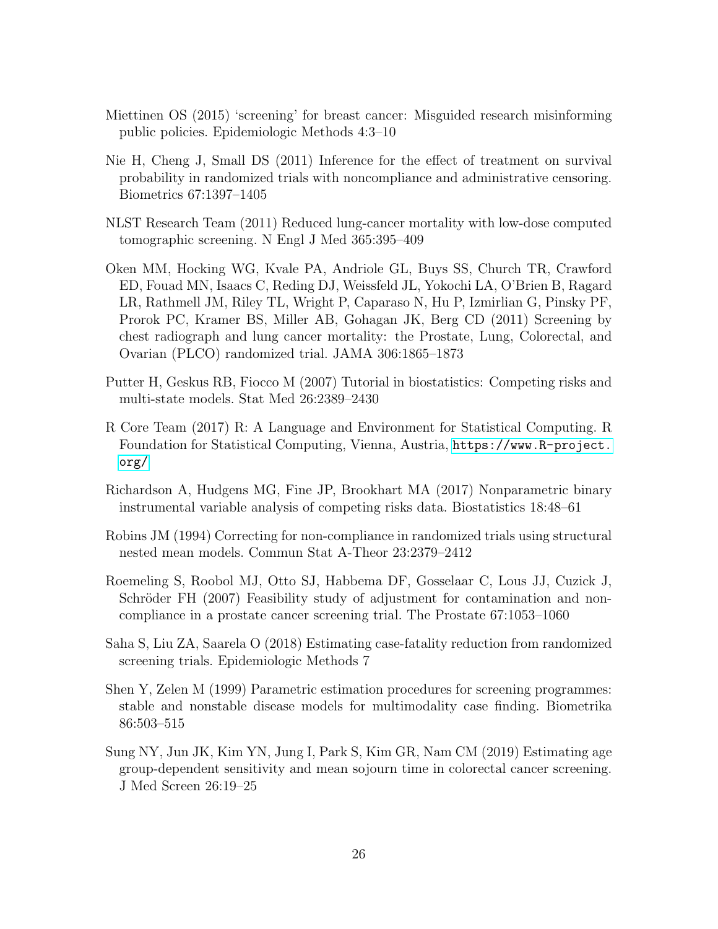- <span id="page-25-2"></span>Miettinen OS (2015) 'screening' for breast cancer: Misguided research misinforming public policies. Epidemiologic Methods 4:3–10
- <span id="page-25-3"></span>Nie H, Cheng J, Small DS (2011) Inference for the effect of treatment on survival probability in randomized trials with noncompliance and administrative censoring. Biometrics 67:1397–1405
- <span id="page-25-8"></span>NLST Research Team (2011) Reduced lung-cancer mortality with low-dose computed tomographic screening. N Engl J Med 365:395–409
- <span id="page-25-9"></span>Oken MM, Hocking WG, Kvale PA, Andriole GL, Buys SS, Church TR, Crawford ED, Fouad MN, Isaacs C, Reding DJ, Weissfeld JL, Yokochi LA, O'Brien B, Ragard LR, Rathmell JM, Riley TL, Wright P, Caparaso N, Hu P, Izmirlian G, Pinsky PF, Prorok PC, Kramer BS, Miller AB, Gohagan JK, Berg CD (2011) Screening by chest radiograph and lung cancer mortality: the Prostate, Lung, Colorectal, and Ovarian (PLCO) randomized trial. JAMA 306:1865–1873
- <span id="page-25-10"></span>Putter H, Geskus RB, Fiocco M (2007) Tutorial in biostatistics: Competing risks and multi-state models. Stat Med 26:2389–2430
- <span id="page-25-11"></span>R Core Team (2017) R: A Language and Environment for Statistical Computing. R Foundation for Statistical Computing, Vienna, Austria, [https://www.R-project.](https://www.R-project.org/) [org/](https://www.R-project.org/)
- <span id="page-25-4"></span>Richardson A, Hudgens MG, Fine JP, Brookhart MA (2017) Nonparametric binary instrumental variable analysis of competing risks data. Biostatistics 18:48–61
- <span id="page-25-5"></span>Robins JM (1994) Correcting for non-compliance in randomized trials using structural nested mean models. Commun Stat A-Theor 23:2379–2412
- <span id="page-25-0"></span>Roemeling S, Roobol MJ, Otto SJ, Habbema DF, Gosselaar C, Lous JJ, Cuzick J, Schröder FH (2007) Feasibility study of adjustment for contamination and noncompliance in a prostate cancer screening trial. The Prostate 67:1053–1060
- <span id="page-25-1"></span>Saha S, Liu ZA, Saarela O (2018) Estimating case-fatality reduction from randomized screening trials. Epidemiologic Methods 7
- <span id="page-25-6"></span>Shen Y, Zelen M (1999) Parametric estimation procedures for screening programmes: stable and nonstable disease models for multimodality case finding. Biometrika 86:503–515
- <span id="page-25-7"></span>Sung NY, Jun JK, Kim YN, Jung I, Park S, Kim GR, Nam CM (2019) Estimating age group-dependent sensitivity and mean sojourn time in colorectal cancer screening. J Med Screen 26:19–25